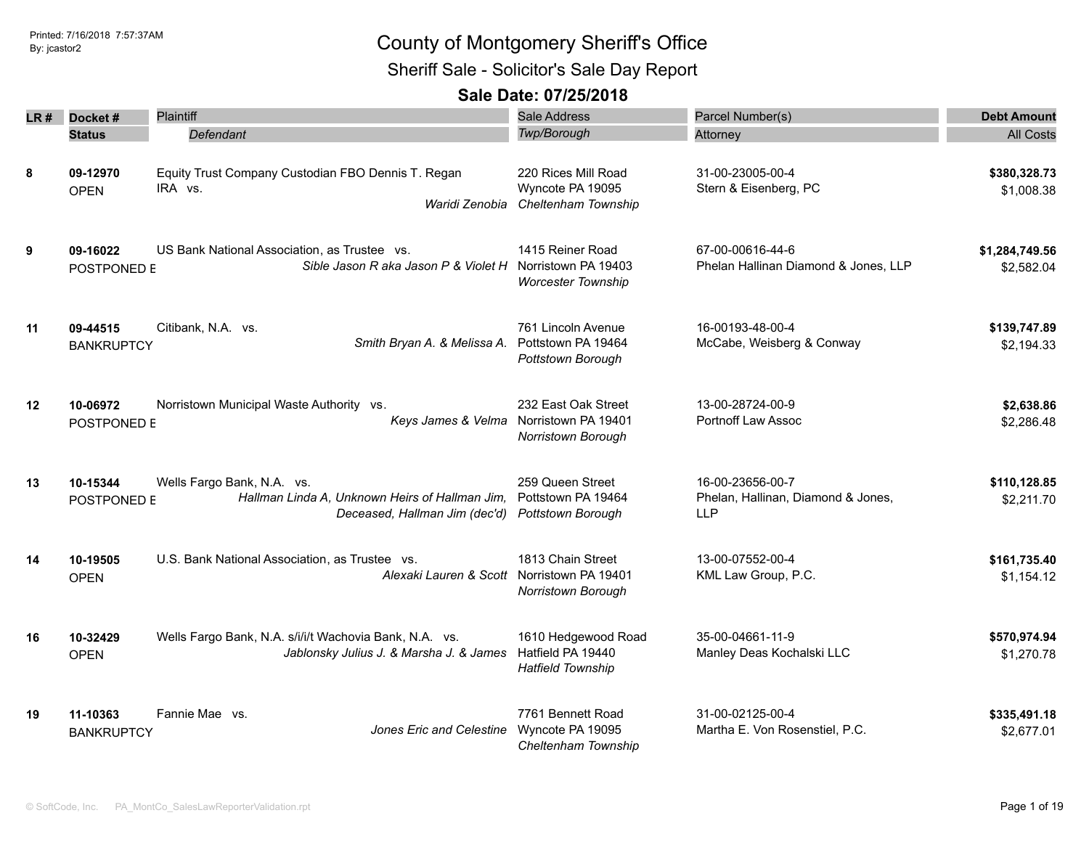Sheriff Sale - Solicitor's Sale Day Report

| LR# | Docket#                       | Plaintiff                                                                                                     | Sale Address                                                                        | Parcel Number(s)                                                     | <b>Debt Amount</b>           |
|-----|-------------------------------|---------------------------------------------------------------------------------------------------------------|-------------------------------------------------------------------------------------|----------------------------------------------------------------------|------------------------------|
|     | <b>Status</b>                 | Defendant                                                                                                     | Twp/Borough                                                                         | Attorney                                                             | <b>All Costs</b>             |
| 8   | 09-12970<br><b>OPEN</b>       | Equity Trust Company Custodian FBO Dennis T. Regan<br>IRA vs.<br>Waridi Zenobia                               | 220 Rices Mill Road<br>Wyncote PA 19095<br>Cheltenham Township                      | 31-00-23005-00-4<br>Stern & Eisenberg, PC                            | \$380,328.73<br>\$1,008.38   |
| 9   | 09-16022<br>POSTPONED E       | US Bank National Association, as Trustee vs.<br>Sible Jason R aka Jason P & Violet H Norristown PA 19403      | 1415 Reiner Road<br><b>Worcester Township</b>                                       | 67-00-00616-44-6<br>Phelan Hallinan Diamond & Jones, LLP             | \$1,284,749.56<br>\$2,582.04 |
| 11  | 09-44515<br><b>BANKRUPTCY</b> | Citibank, N.A. vs.<br>Smith Bryan A. & Melissa A.                                                             | 761 Lincoln Avenue<br>Pottstown PA 19464<br>Pottstown Borough                       | 16-00193-48-00-4<br>McCabe, Weisberg & Conway                        | \$139,747.89<br>\$2,194.33   |
| 12  | 10-06972<br>POSTPONED E       | Norristown Municipal Waste Authority vs.                                                                      | 232 East Oak Street<br>Keys James & Velma Norristown PA 19401<br>Norristown Borough | 13-00-28724-00-9<br>Portnoff Law Assoc                               | \$2,638.86<br>\$2,286.48     |
| 13  | 10-15344<br>POSTPONED E       | Wells Fargo Bank, N.A. vs.<br>Hallman Linda A, Unknown Heirs of Hallman Jim,<br>Deceased, Hallman Jim (dec'd) | 259 Queen Street<br>Pottstown PA 19464<br>Pottstown Borough                         | 16-00-23656-00-7<br>Phelan, Hallinan, Diamond & Jones,<br><b>LLP</b> | \$110,128.85<br>\$2,211.70   |
| 14  | 10-19505<br><b>OPEN</b>       | U.S. Bank National Association, as Trustee vs.<br>Alexaki Lauren & Scott                                      | 1813 Chain Street<br>Norristown PA 19401<br>Norristown Borough                      | 13-00-07552-00-4<br>KML Law Group, P.C.                              | \$161,735.40<br>\$1,154.12   |
| 16  | 10-32429<br><b>OPEN</b>       | Wells Fargo Bank, N.A. s/i/i/t Wachovia Bank, N.A. vs.<br>Jablonsky Julius J. & Marsha J. & James             | 1610 Hedgewood Road<br>Hatfield PA 19440<br><b>Hatfield Township</b>                | 35-00-04661-11-9<br>Manley Deas Kochalski LLC                        | \$570,974.94<br>\$1,270.78   |
| 19  | 11-10363<br><b>BANKRUPTCY</b> | Fannie Mae vs.<br>Jones Eric and Celestine                                                                    | 7761 Bennett Road<br>Wyncote PA 19095<br>Cheltenham Township                        | 31-00-02125-00-4<br>Martha E. Von Rosenstiel, P.C.                   | \$335,491.18<br>\$2,677.01   |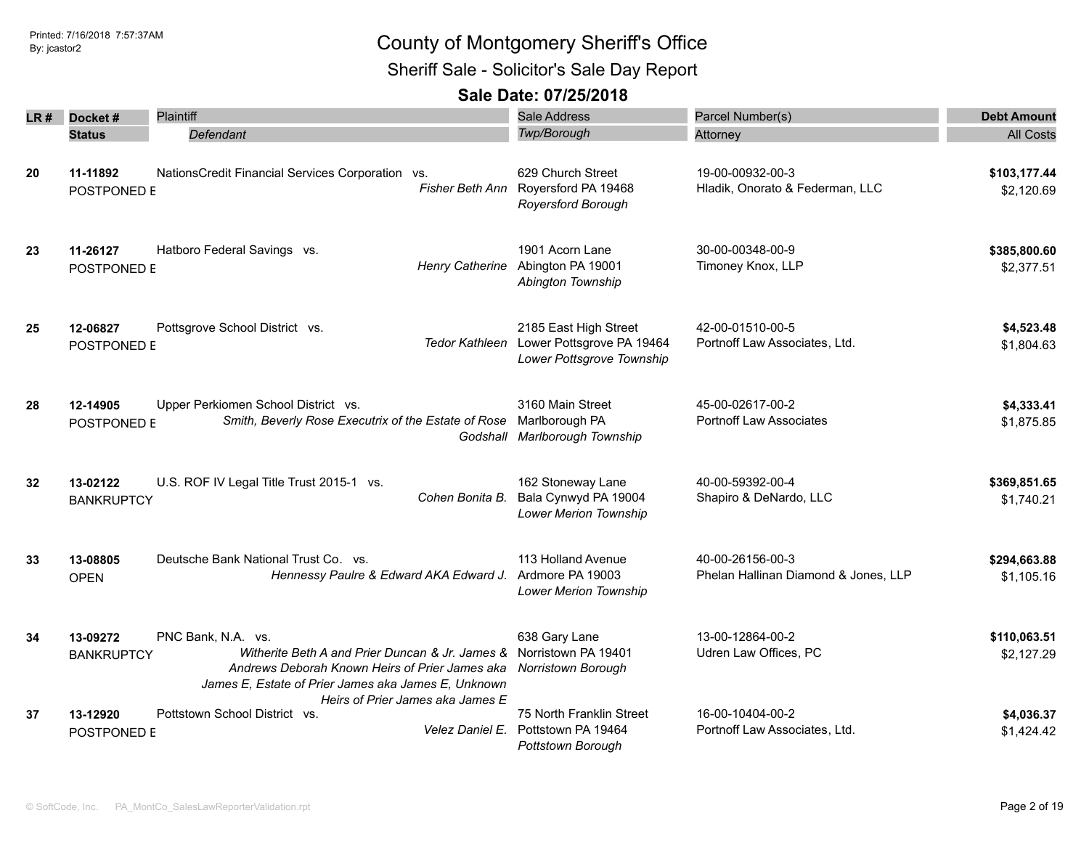Sheriff Sale - Solicitor's Sale Day Report

| LR # | Docket#                       | <b>Plaintiff</b>                                                                                                                                                               | <b>Sale Address</b>                                                                            | Parcel Number(s)                                         | <b>Debt Amount</b>         |
|------|-------------------------------|--------------------------------------------------------------------------------------------------------------------------------------------------------------------------------|------------------------------------------------------------------------------------------------|----------------------------------------------------------|----------------------------|
|      | <b>Status</b>                 | Defendant                                                                                                                                                                      | Twp/Borough                                                                                    | Attorney                                                 | <b>All Costs</b>           |
| 20   | 11-11892<br>POSTPONED E       | NationsCredit Financial Services Corporation vs.                                                                                                                               | 629 Church Street<br>Fisher Beth Ann Royersford PA 19468<br>Royersford Borough                 | 19-00-00932-00-3<br>Hladik, Onorato & Federman, LLC      | \$103,177.44<br>\$2,120.69 |
| 23   | 11-26127<br>POSTPONED E       | Hatboro Federal Savings vs.                                                                                                                                                    | 1901 Acorn Lane<br>Henry Catherine Abington PA 19001<br>Abington Township                      | 30-00-00348-00-9<br>Timoney Knox, LLP                    | \$385,800.60<br>\$2,377.51 |
| 25   | 12-06827<br>POSTPONED E       | Pottsgrove School District vs.                                                                                                                                                 | 2185 East High Street<br>Tedor Kathleen Lower Pottsgrove PA 19464<br>Lower Pottsgrove Township | 42-00-01510-00-5<br>Portnoff Law Associates, Ltd.        | \$4,523.48<br>\$1,804.63   |
| 28   | 12-14905<br>POSTPONED E       | Upper Perkiomen School District vs.<br>Smith, Beverly Rose Executrix of the Estate of Rose                                                                                     | 3160 Main Street<br>Marlborough PA<br>Godshall Marlborough Township                            | 45-00-02617-00-2<br><b>Portnoff Law Associates</b>       | \$4,333.41<br>\$1,875.85   |
| 32   | 13-02122<br><b>BANKRUPTCY</b> | U.S. ROF IV Legal Title Trust 2015-1 vs.<br>Cohen Bonita B.                                                                                                                    | 162 Stoneway Lane<br>Bala Cynwyd PA 19004<br>Lower Merion Township                             | 40-00-59392-00-4<br>Shapiro & DeNardo, LLC               | \$369,851.65<br>\$1,740.21 |
| 33   | 13-08805<br><b>OPEN</b>       | Deutsche Bank National Trust Co. vs.<br>Hennessy Paulre & Edward AKA Edward J.                                                                                                 | 113 Holland Avenue<br>Ardmore PA 19003<br>Lower Merion Township                                | 40-00-26156-00-3<br>Phelan Hallinan Diamond & Jones, LLP | \$294,663.88<br>\$1,105.16 |
| 34   | 13-09272<br><b>BANKRUPTCY</b> | PNC Bank, N.A. vs.<br>Witherite Beth A and Prier Duncan & Jr. James &<br>Andrews Deborah Known Heirs of Prier James aka<br>James E, Estate of Prier James aka James E, Unknown | 638 Gary Lane<br>Norristown PA 19401<br>Norristown Borough                                     | 13-00-12864-00-2<br>Udren Law Offices, PC                | \$110,063.51<br>\$2,127.29 |
| 37   | 13-12920<br>POSTPONED E       | Heirs of Prier James aka James E<br>Pottstown School District vs.<br>Velez Daniel E.                                                                                           | 75 North Franklin Street<br>Pottstown PA 19464<br><b>Pottstown Borough</b>                     | 16-00-10404-00-2<br>Portnoff Law Associates, Ltd.        | \$4,036.37<br>\$1,424.42   |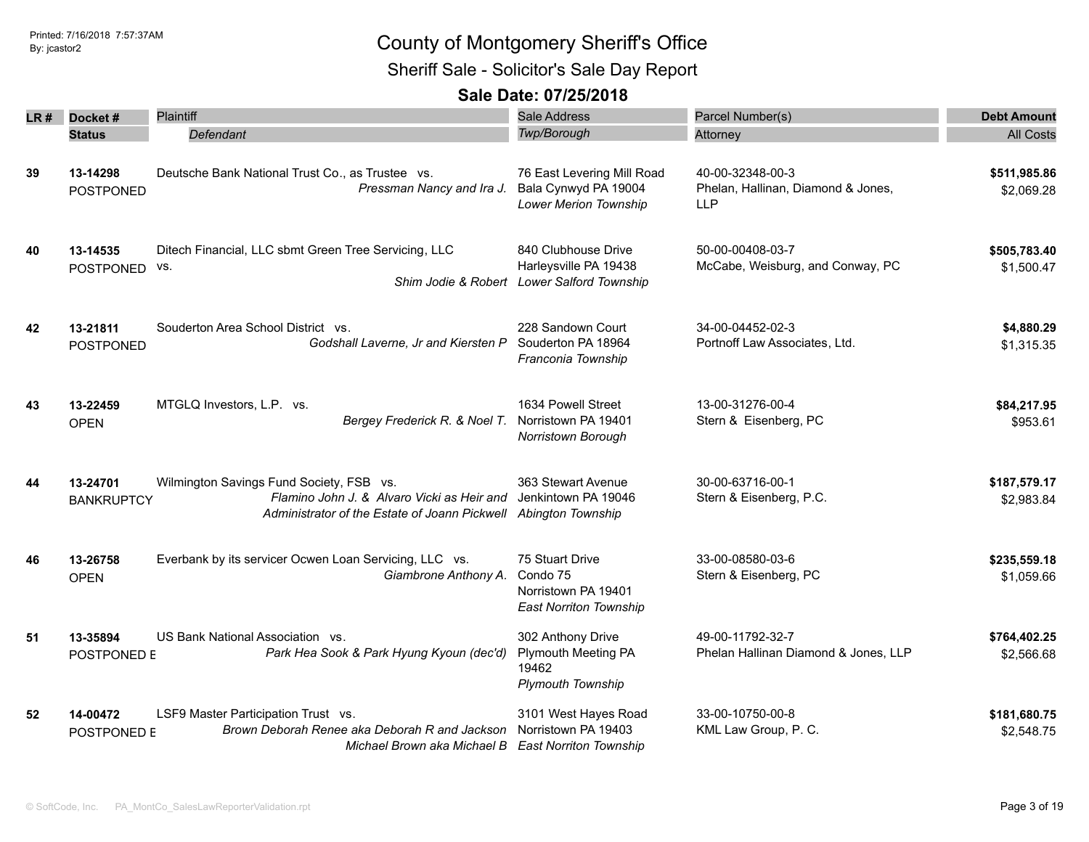Sheriff Sale - Solicitor's Sale Day Report

| LR # | Docket#                       | Plaintiff                                                                                                                                                                     | <b>Sale Address</b>                                                                        | Parcel Number(s)                                                     | <b>Debt Amount</b>         |
|------|-------------------------------|-------------------------------------------------------------------------------------------------------------------------------------------------------------------------------|--------------------------------------------------------------------------------------------|----------------------------------------------------------------------|----------------------------|
|      | <b>Status</b>                 | Defendant                                                                                                                                                                     | Twp/Borough                                                                                | Attorney                                                             | <b>All Costs</b>           |
| 39   | 13-14298<br><b>POSTPONED</b>  | Deutsche Bank National Trust Co., as Trustee vs.<br>Pressman Nancy and Ira J.                                                                                                 | 76 East Levering Mill Road<br>Bala Cynwyd PA 19004<br>Lower Merion Township                | 40-00-32348-00-3<br>Phelan, Hallinan, Diamond & Jones,<br><b>LLP</b> | \$511,985.86<br>\$2,069.28 |
| 40   | 13-14535<br><b>POSTPONED</b>  | Ditech Financial, LLC sbmt Green Tree Servicing, LLC<br>VS.                                                                                                                   | 840 Clubhouse Drive<br>Harleysville PA 19438<br>Shim Jodie & Robert Lower Salford Township | 50-00-00408-03-7<br>McCabe, Weisburg, and Conway, PC                 | \$505,783.40<br>\$1,500.47 |
| 42   | 13-21811<br><b>POSTPONED</b>  | Souderton Area School District vs.<br>Godshall Laverne, Jr and Kiersten P                                                                                                     | 228 Sandown Court<br>Souderton PA 18964<br>Franconia Township                              | 34-00-04452-02-3<br>Portnoff Law Associates, Ltd.                    | \$4,880.29<br>\$1,315.35   |
| 43   | 13-22459<br><b>OPEN</b>       | MTGLQ Investors, L.P. vs.<br>Bergey Frederick R. & Noel T.                                                                                                                    | 1634 Powell Street<br>Norristown PA 19401<br>Norristown Borough                            | 13-00-31276-00-4<br>Stern & Eisenberg, PC                            | \$84,217.95<br>\$953.61    |
| 44   | 13-24701<br><b>BANKRUPTCY</b> | Wilmington Savings Fund Society, FSB vs.<br>Flamino John J. & Alvaro Vicki as Heir and Jenkintown PA 19046<br>Administrator of the Estate of Joann Pickwell Abington Township | 363 Stewart Avenue                                                                         | 30-00-63716-00-1<br>Stern & Eisenberg, P.C.                          | \$187,579.17<br>\$2,983.84 |
| 46   | 13-26758<br><b>OPEN</b>       | Everbank by its servicer Ocwen Loan Servicing, LLC vs.<br>Giambrone Anthony A.                                                                                                | 75 Stuart Drive<br>Condo 75<br>Norristown PA 19401<br><b>East Norriton Township</b>        | 33-00-08580-03-6<br>Stern & Eisenberg, PC                            | \$235,559.18<br>\$1,059.66 |
| 51   | 13-35894<br>POSTPONED E       | US Bank National Association vs.<br>Park Hea Sook & Park Hyung Kyoun (dec'd)                                                                                                  | 302 Anthony Drive<br><b>Plymouth Meeting PA</b><br>19462<br><b>Plymouth Township</b>       | 49-00-11792-32-7<br>Phelan Hallinan Diamond & Jones, LLP             | \$764,402.25<br>\$2,566.68 |
| 52   | 14-00472<br>POSTPONED E       | LSF9 Master Participation Trust vs.<br>Brown Deborah Renee aka Deborah R and Jackson<br>Michael Brown aka Michael B East Norriton Township                                    | 3101 West Hayes Road<br>Norristown PA 19403                                                | 33-00-10750-00-8<br>KML Law Group, P. C.                             | \$181,680.75<br>\$2,548.75 |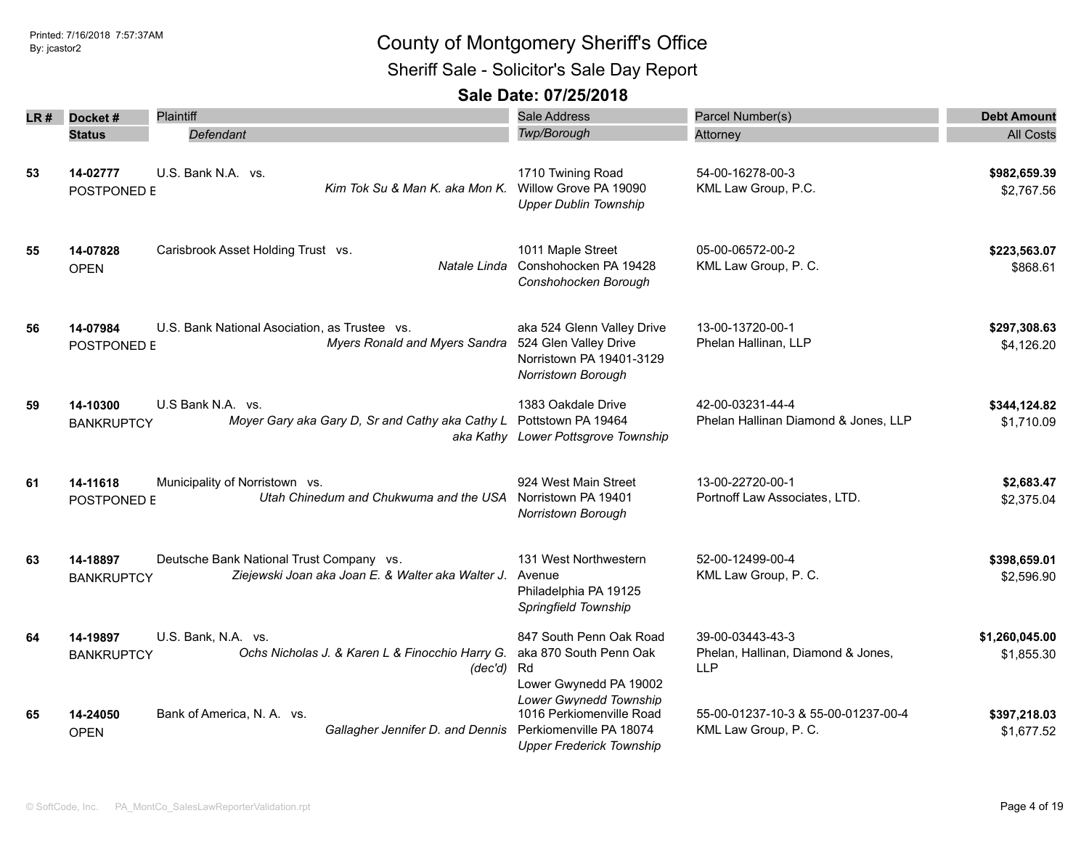Sheriff Sale - Solicitor's Sale Day Report

| LR # | Docket#                       | Plaintiff                                                                                     | <b>Sale Address</b>                                                                                              | Parcel Number(s)                                                     | <b>Debt Amount</b>           |
|------|-------------------------------|-----------------------------------------------------------------------------------------------|------------------------------------------------------------------------------------------------------------------|----------------------------------------------------------------------|------------------------------|
|      | <b>Status</b>                 | Defendant                                                                                     | <b>Twp/Borough</b>                                                                                               | Attorney                                                             | <b>All Costs</b>             |
| 53   | 14-02777<br>POSTPONED E       | U.S. Bank N.A. vs.<br>Kim Tok Su & Man K. aka Mon K.                                          | 1710 Twining Road<br>Willow Grove PA 19090<br><b>Upper Dublin Township</b>                                       | 54-00-16278-00-3<br>KML Law Group, P.C.                              | \$982,659.39<br>\$2,767.56   |
| 55   | 14-07828<br><b>OPEN</b>       | Carisbrook Asset Holding Trust vs.<br>Natale Linda                                            | 1011 Maple Street<br>Conshohocken PA 19428<br>Conshohocken Borough                                               | 05-00-06572-00-2<br>KML Law Group, P. C.                             | \$223,563.07<br>\$868.61     |
| 56   | 14-07984<br>POSTPONED E       | U.S. Bank National Asociation, as Trustee vs.<br>Myers Ronald and Myers Sandra                | aka 524 Glenn Valley Drive<br>524 Glen Valley Drive<br>Norristown PA 19401-3129<br>Norristown Borough            | 13-00-13720-00-1<br>Phelan Hallinan, LLP                             | \$297,308.63<br>\$4,126.20   |
| 59   | 14-10300<br><b>BANKRUPTCY</b> | U.S Bank N.A. vs.<br>Moyer Gary aka Gary D, Sr and Cathy aka Cathy L                          | 1383 Oakdale Drive<br>Pottstown PA 19464<br>aka Kathy Lower Pottsgrove Township                                  | 42-00-03231-44-4<br>Phelan Hallinan Diamond & Jones, LLP             | \$344,124.82<br>\$1,710.09   |
| 61   | 14-11618<br>POSTPONED E       | Municipality of Norristown vs.<br>Utah Chinedum and Chukwuma and the USA                      | 924 West Main Street<br>Norristown PA 19401<br>Norristown Borough                                                | 13-00-22720-00-1<br>Portnoff Law Associates, LTD.                    | \$2,683.47<br>\$2,375.04     |
| 63   | 14-18897<br><b>BANKRUPTCY</b> | Deutsche Bank National Trust Company vs.<br>Ziejewski Joan aka Joan E. & Walter aka Walter J. | 131 West Northwestern<br>Avenue<br>Philadelphia PA 19125<br>Springfield Township                                 | 52-00-12499-00-4<br>KML Law Group, P. C.                             | \$398,659.01<br>\$2,596.90   |
| 64   | 14-19897<br><b>BANKRUPTCY</b> | U.S. Bank, N.A. vs.<br>Ochs Nicholas J. & Karen L & Finocchio Harry G.<br>(dec'd)             | 847 South Penn Oak Road<br>aka 870 South Penn Oak<br>Rd<br>Lower Gwynedd PA 19002                                | 39-00-03443-43-3<br>Phelan, Hallinan, Diamond & Jones,<br><b>LLP</b> | \$1,260,045.00<br>\$1,855.30 |
| 65   | 14-24050<br><b>OPEN</b>       | Bank of America, N. A. vs.<br>Gallagher Jennifer D. and Dennis                                | Lower Gwynedd Township<br>1016 Perkiomenville Road<br>Perkiomenville PA 18074<br><b>Upper Frederick Township</b> | 55-00-01237-10-3 & 55-00-01237-00-4<br>KML Law Group, P. C.          | \$397,218.03<br>\$1,677.52   |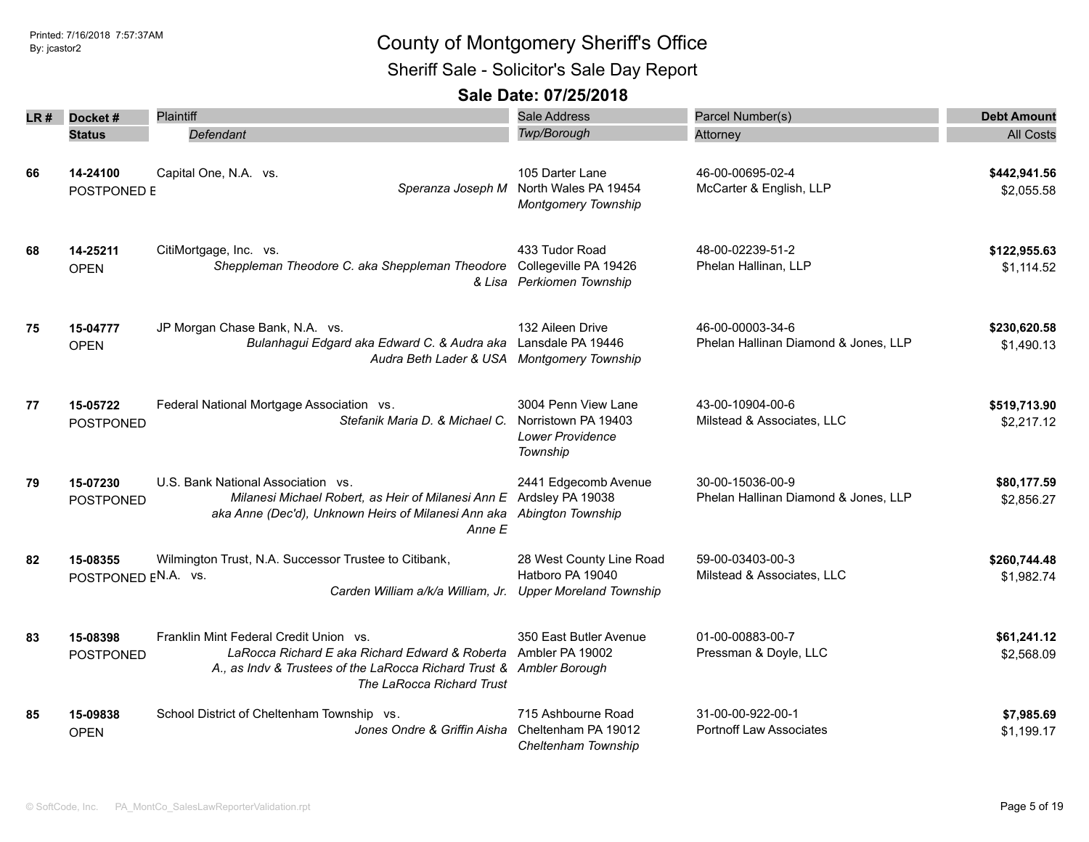Sheriff Sale - Solicitor's Sale Day Report

| LR # | Docket#                         | <b>Plaintiff</b>                                                                                                                                                                                              | <b>Sale Address</b>                                                               | Parcel Number(s)                                         | <b>Debt Amount</b>         |
|------|---------------------------------|---------------------------------------------------------------------------------------------------------------------------------------------------------------------------------------------------------------|-----------------------------------------------------------------------------------|----------------------------------------------------------|----------------------------|
|      | <b>Status</b>                   | Defendant                                                                                                                                                                                                     | Twp/Borough                                                                       | Attorney                                                 | <b>All Costs</b>           |
| 66   | 14-24100<br>POSTPONED E         | Capital One, N.A. vs.<br>Speranza Joseph M                                                                                                                                                                    | 105 Darter Lane<br>North Wales PA 19454<br><b>Montgomery Township</b>             | 46-00-00695-02-4<br>McCarter & English, LLP              | \$442,941.56<br>\$2,055.58 |
| 68   | 14-25211<br><b>OPEN</b>         | CitiMortgage, Inc. vs.<br>Sheppleman Theodore C. aka Sheppleman Theodore Collegeville PA 19426                                                                                                                | 433 Tudor Road<br>& Lisa Perkiomen Township                                       | 48-00-02239-51-2<br>Phelan Hallinan, LLP                 | \$122,955.63<br>\$1,114.52 |
| 75   | 15-04777<br><b>OPEN</b>         | JP Morgan Chase Bank, N.A. vs.<br>Bulanhagui Edgard aka Edward C. & Audra aka<br>Audra Beth Lader & USA Montgomery Township                                                                                   | 132 Aileen Drive<br>Lansdale PA 19446                                             | 46-00-00003-34-6<br>Phelan Hallinan Diamond & Jones, LLP | \$230,620.58<br>\$1,490.13 |
| 77   | 15-05722<br><b>POSTPONED</b>    | Federal National Mortgage Association vs.<br>Stefanik Maria D. & Michael C.                                                                                                                                   | 3004 Penn View Lane<br>Norristown PA 19403<br><b>Lower Providence</b><br>Township | 43-00-10904-00-6<br>Milstead & Associates, LLC           | \$519,713.90<br>\$2,217.12 |
| 79   | 15-07230<br><b>POSTPONED</b>    | U.S. Bank National Association vs.<br>Milanesi Michael Robert, as Heir of Milanesi Ann E Ardsley PA 19038<br>aka Anne (Dec'd), Unknown Heirs of Milanesi Ann aka Abington Township<br>Anne E                  | 2441 Edgecomb Avenue                                                              | 30-00-15036-00-9<br>Phelan Hallinan Diamond & Jones, LLP | \$80,177.59<br>\$2,856.27  |
| 82   | 15-08355<br>POSTPONED EN.A. vs. | Wilmington Trust, N.A. Successor Trustee to Citibank,<br>Carden William a/k/a William, Jr.                                                                                                                    | 28 West County Line Road<br>Hatboro PA 19040<br><b>Upper Moreland Township</b>    | 59-00-03403-00-3<br>Milstead & Associates, LLC           | \$260,744.48<br>\$1,982.74 |
| 83   | 15-08398<br><b>POSTPONED</b>    | Franklin Mint Federal Credit Union vs.<br>LaRocca Richard E aka Richard Edward & Roberta Ambler PA 19002<br>A., as Indv & Trustees of the LaRocca Richard Trust & Ambler Borough<br>The LaRocca Richard Trust | 350 East Butler Avenue                                                            | 01-00-00883-00-7<br>Pressman & Doyle, LLC                | \$61,241.12<br>\$2,568.09  |
| 85   | 15-09838<br><b>OPEN</b>         | School District of Cheltenham Township vs.<br>Jones Ondre & Griffin Aisha                                                                                                                                     | 715 Ashbourne Road<br>Cheltenham PA 19012<br>Cheltenham Township                  | 31-00-00-922-00-1<br><b>Portnoff Law Associates</b>      | \$7,985.69<br>\$1,199.17   |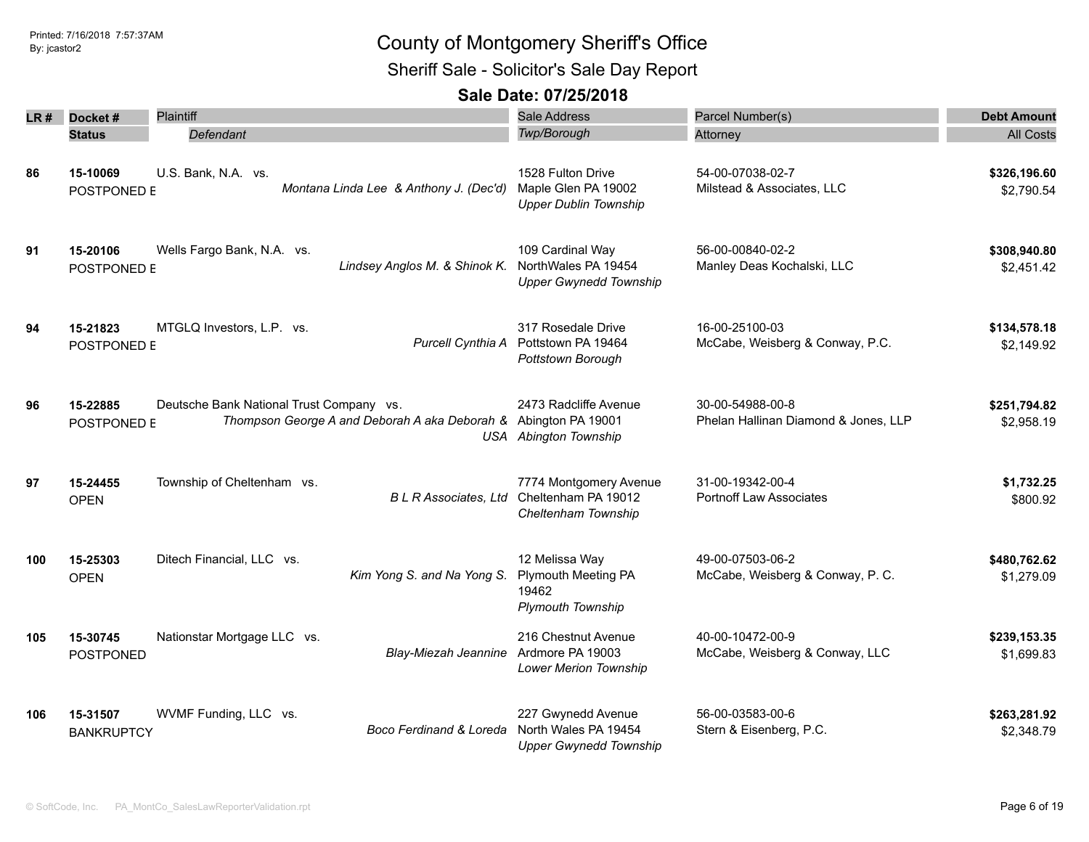Sheriff Sale - Solicitor's Sale Day Report

| LR # | Docket#                       | Plaintiff                                                                                                   | <b>Sale Address</b>                                                         | Parcel Number(s)                                         | <b>Debt Amount</b>         |
|------|-------------------------------|-------------------------------------------------------------------------------------------------------------|-----------------------------------------------------------------------------|----------------------------------------------------------|----------------------------|
|      | <b>Status</b>                 | Defendant                                                                                                   | Twp/Borough                                                                 | Attorney                                                 | <b>All Costs</b>           |
| 86   | 15-10069<br>POSTPONED E       | U.S. Bank, N.A. vs.<br>Montana Linda Lee & Anthony J. (Dec'd)                                               | 1528 Fulton Drive<br>Maple Glen PA 19002<br><b>Upper Dublin Township</b>    | 54-00-07038-02-7<br>Milstead & Associates, LLC           | \$326,196.60<br>\$2,790.54 |
| 91   | 15-20106<br>POSTPONED E       | Wells Fargo Bank, N.A. vs.<br>Lindsey Anglos M. & Shinok K. NorthWales PA 19454                             | 109 Cardinal Way<br><b>Upper Gwynedd Township</b>                           | 56-00-00840-02-2<br>Manley Deas Kochalski, LLC           | \$308,940.80<br>\$2,451.42 |
| 94   | 15-21823<br>POSTPONED E       | MTGLQ Investors, L.P. vs.<br>Purcell Cynthia A                                                              | 317 Rosedale Drive<br>Pottstown PA 19464<br>Pottstown Borough               | 16-00-25100-03<br>McCabe, Weisberg & Conway, P.C.        | \$134,578.18<br>\$2,149.92 |
| 96   | 15-22885<br>POSTPONED E       | Deutsche Bank National Trust Company vs.<br>Thompson George A and Deborah A aka Deborah & Abington PA 19001 | 2473 Radcliffe Avenue<br><b>USA</b> Abington Township                       | 30-00-54988-00-8<br>Phelan Hallinan Diamond & Jones, LLP | \$251,794.82<br>\$2,958.19 |
| 97   | 15-24455<br><b>OPEN</b>       | Township of Cheltenham vs.<br><b>BLR</b> Associates, Ltd                                                    | 7774 Montgomery Avenue<br>Cheltenham PA 19012<br>Cheltenham Township        | 31-00-19342-00-4<br><b>Portnoff Law Associates</b>       | \$1,732.25<br>\$800.92     |
| 100  | 15-25303<br><b>OPEN</b>       | Ditech Financial, LLC vs.<br>Kim Yong S. and Na Yong S.                                                     | 12 Melissa Way<br>Plymouth Meeting PA<br>19462<br><b>Plymouth Township</b>  | 49-00-07503-06-2<br>McCabe, Weisberg & Conway, P. C.     | \$480,762.62<br>\$1,279.09 |
| 105  | 15-30745<br><b>POSTPONED</b>  | Nationstar Mortgage LLC vs.<br>Blay-Miezah Jeannine                                                         | 216 Chestnut Avenue<br>Ardmore PA 19003<br><b>Lower Merion Township</b>     | 40-00-10472-00-9<br>McCabe, Weisberg & Conway, LLC       | \$239,153.35<br>\$1,699.83 |
| 106  | 15-31507<br><b>BANKRUPTCY</b> | WVMF Funding, LLC vs.<br>Boco Ferdinand & Loreda                                                            | 227 Gwynedd Avenue<br>North Wales PA 19454<br><b>Upper Gwynedd Township</b> | 56-00-03583-00-6<br>Stern & Eisenberg, P.C.              | \$263,281.92<br>\$2,348.79 |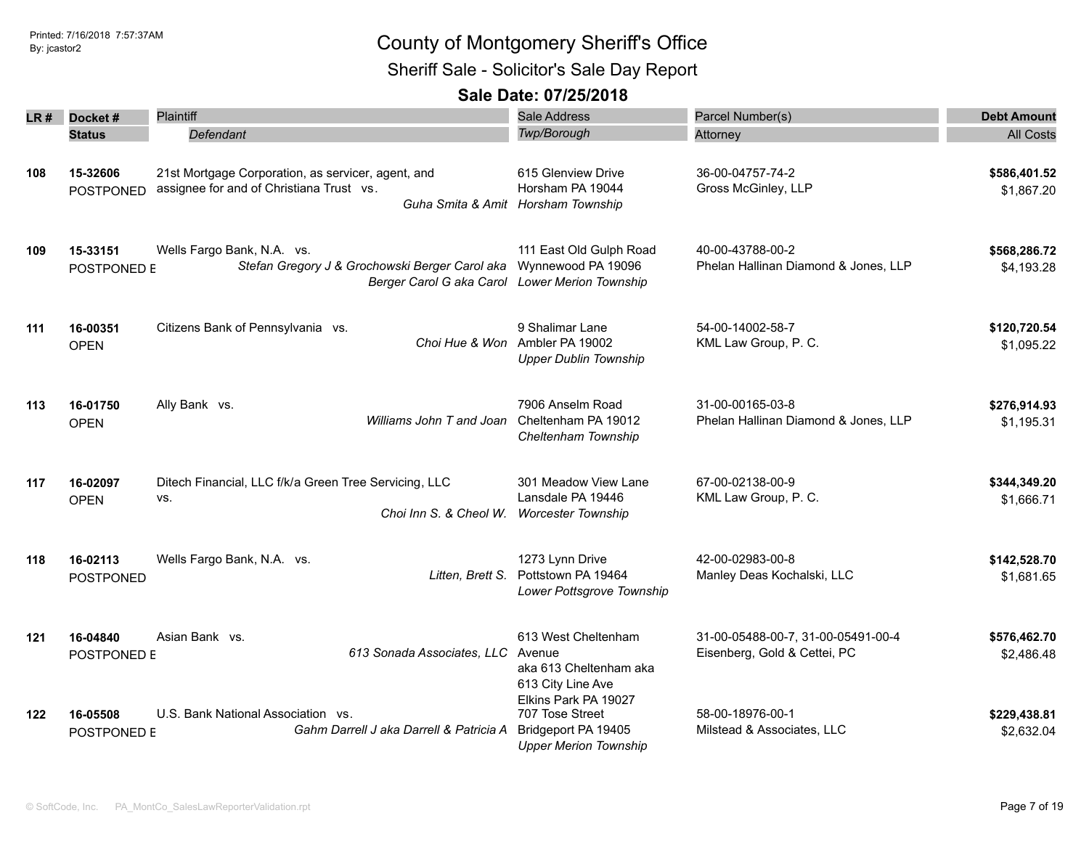### Printed: 7/16/2018 7:57:37AM By: jcastor2 County of Montgomery Sheriff's Office Sheriff Sale - Solicitor's Sale Day Report

| LR # | Docket#<br><b>Status</b>     | Plaintiff<br>Defendant                                                                                                                            | Sale Address<br>Twp/Borough                                                                    | Parcel Number(s)<br>Attorney                                       | <b>Debt Amount</b><br>All Costs |
|------|------------------------------|---------------------------------------------------------------------------------------------------------------------------------------------------|------------------------------------------------------------------------------------------------|--------------------------------------------------------------------|---------------------------------|
| 108  | 15-32606<br><b>POSTPONED</b> | 21st Mortgage Corporation, as servicer, agent, and<br>assignee for and of Christiana Trust vs.                                                    | 615 Glenview Drive<br>Horsham PA 19044<br>Guha Smita & Amit Horsham Township                   | 36-00-04757-74-2<br>Gross McGinley, LLP                            | \$586,401.52<br>\$1,867.20      |
| 109  | 15-33151<br>POSTPONED E      | Wells Fargo Bank, N.A. vs.<br>Stefan Gregory J & Grochowski Berger Carol aka Wynnewood PA 19096<br>Berger Carol G aka Carol Lower Merion Township | 111 East Old Gulph Road                                                                        | 40-00-43788-00-2<br>Phelan Hallinan Diamond & Jones, LLP           | \$568,286.72<br>\$4,193.28      |
| 111  | 16-00351<br><b>OPEN</b>      | Citizens Bank of Pennsylvania vs.                                                                                                                 | 9 Shalimar Lane<br>Choi Hue & Won Ambler PA 19002<br><b>Upper Dublin Township</b>              | 54-00-14002-58-7<br>KML Law Group, P. C.                           | \$120,720.54<br>\$1,095.22      |
| 113  | 16-01750<br><b>OPEN</b>      | Ally Bank vs.<br>Williams John T and Joan                                                                                                         | 7906 Anselm Road<br>Cheltenham PA 19012<br>Cheltenham Township                                 | 31-00-00165-03-8<br>Phelan Hallinan Diamond & Jones, LLP           | \$276,914.93<br>\$1,195.31      |
| 117  | 16-02097<br><b>OPEN</b>      | Ditech Financial, LLC f/k/a Green Tree Servicing, LLC<br>VS.<br>Choi Inn S. & Cheol W. Worcester Township                                         | 301 Meadow View Lane<br>Lansdale PA 19446                                                      | 67-00-02138-00-9<br>KML Law Group, P. C.                           | \$344,349.20<br>\$1,666.71      |
| 118  | 16-02113<br><b>POSTPONED</b> | Wells Fargo Bank, N.A. vs.<br>Litten, Brett S.                                                                                                    | 1273 Lynn Drive<br>Pottstown PA 19464<br>Lower Pottsgrove Township                             | 42-00-02983-00-8<br>Manley Deas Kochalski, LLC                     | \$142,528.70<br>\$1,681.65      |
| 121  | 16-04840<br>POSTPONED E      | Asian Bank vs.<br>613 Sonada Associates, LLC Avenue                                                                                               | 613 West Cheltenham<br>aka 613 Cheltenham aka<br>613 City Line Ave                             | 31-00-05488-00-7, 31-00-05491-00-4<br>Eisenberg, Gold & Cettei, PC | \$576,462.70<br>\$2,486.48      |
| 122  | 16-05508<br>POSTPONED E      | U.S. Bank National Association vs.<br>Gahm Darrell J aka Darrell & Patricia A                                                                     | Elkins Park PA 19027<br>707 Tose Street<br>Bridgeport PA 19405<br><b>Upper Merion Township</b> | 58-00-18976-00-1<br>Milstead & Associates, LLC                     | \$229,438.81<br>\$2,632.04      |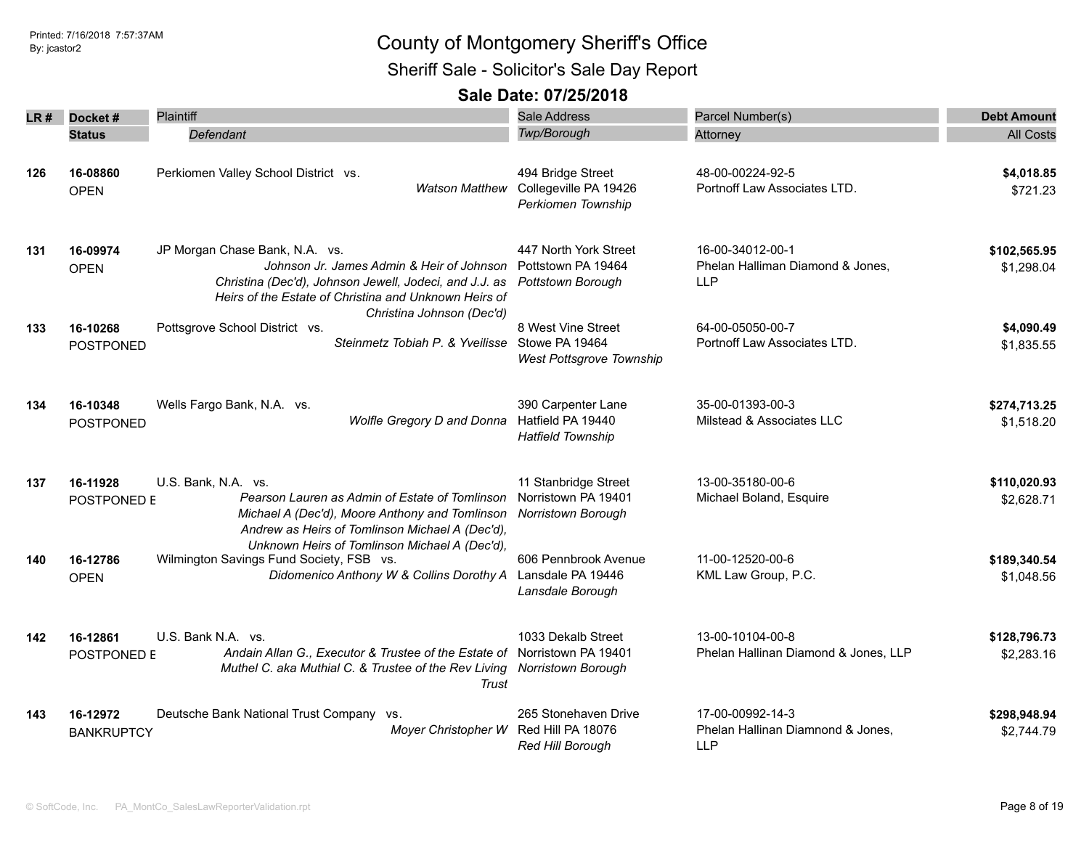Sheriff Sale - Solicitor's Sale Day Report

| LR # | Docket#                       | Plaintiff                                                                                                                                                                                                                                      | <b>Sale Address</b>                                                 | Parcel Number(s)                                                    | <b>Debt Amount</b>         |
|------|-------------------------------|------------------------------------------------------------------------------------------------------------------------------------------------------------------------------------------------------------------------------------------------|---------------------------------------------------------------------|---------------------------------------------------------------------|----------------------------|
|      | <b>Status</b>                 | Defendant                                                                                                                                                                                                                                      | Twp/Borough                                                         | Attorney                                                            | <b>All Costs</b>           |
| 126  | 16-08860<br><b>OPEN</b>       | Perkiomen Valley School District vs.<br><b>Watson Matthew</b>                                                                                                                                                                                  | 494 Bridge Street<br>Collegeville PA 19426<br>Perkiomen Township    | 48-00-00224-92-5<br>Portnoff Law Associates LTD.                    | \$4,018.85<br>\$721.23     |
| 131  | 16-09974<br><b>OPEN</b>       | JP Morgan Chase Bank, N.A. vs.<br>Johnson Jr. James Admin & Heir of Johnson Pottstown PA 19464<br>Christina (Dec'd), Johnson Jewell, Jodeci, and J.J. as<br>Heirs of the Estate of Christina and Unknown Heirs of<br>Christina Johnson (Dec'd) | 447 North York Street<br>Pottstown Borough                          | 16-00-34012-00-1<br>Phelan Halliman Diamond & Jones,<br><b>LLP</b>  | \$102,565.95<br>\$1,298.04 |
| 133  | 16-10268<br><b>POSTPONED</b>  | Pottsgrove School District vs.<br>Steinmetz Tobiah P. & Yveilisse Stowe PA 19464                                                                                                                                                               | 8 West Vine Street<br><b>West Pottsgrove Township</b>               | 64-00-05050-00-7<br>Portnoff Law Associates LTD.                    | \$4,090.49<br>\$1,835.55   |
| 134  | 16-10348<br><b>POSTPONED</b>  | Wells Fargo Bank, N.A. vs.<br>Wolfle Gregory D and Donna                                                                                                                                                                                       | 390 Carpenter Lane<br>Hatfield PA 19440<br><b>Hatfield Township</b> | 35-00-01393-00-3<br>Milstead & Associates LLC                       | \$274,713.25<br>\$1,518.20 |
| 137  | 16-11928<br>POSTPONED E       | U.S. Bank, N.A. vs.<br>Pearson Lauren as Admin of Estate of Tomlinson<br>Michael A (Dec'd), Moore Anthony and Tomlinson<br>Andrew as Heirs of Tomlinson Michael A (Dec'd),                                                                     | 11 Stanbridge Street<br>Norristown PA 19401<br>Norristown Borough   | 13-00-35180-00-6<br>Michael Boland, Esquire                         | \$110,020.93<br>\$2,628.71 |
| 140  | 16-12786<br><b>OPEN</b>       | Unknown Heirs of Tomlinson Michael A (Dec'd),<br>Wilmington Savings Fund Society, FSB vs.<br>Didomenico Anthony W & Collins Dorothy A                                                                                                          | 606 Pennbrook Avenue<br>Lansdale PA 19446<br>Lansdale Borough       | 11-00-12520-00-6<br>KML Law Group, P.C.                             | \$189,340.54<br>\$1,048.56 |
| 142  | 16-12861<br>POSTPONED E       | U.S. Bank N.A. vs.<br>Andain Allan G., Executor & Trustee of the Estate of Norristown PA 19401<br>Muthel C. aka Muthial C. & Trustee of the Rev Living Norristown Borough<br>Trust                                                             | 1033 Dekalb Street                                                  | 13-00-10104-00-8<br>Phelan Hallinan Diamond & Jones, LLP            | \$128,796.73<br>\$2,283.16 |
| 143  | 16-12972<br><b>BANKRUPTCY</b> | Deutsche Bank National Trust Company vs.<br>Moyer Christopher W                                                                                                                                                                                | 265 Stonehaven Drive<br>Red Hill PA 18076<br>Red Hill Borough       | 17-00-00992-14-3<br>Phelan Hallinan Diamnond & Jones,<br><b>LLP</b> | \$298,948.94<br>\$2,744.79 |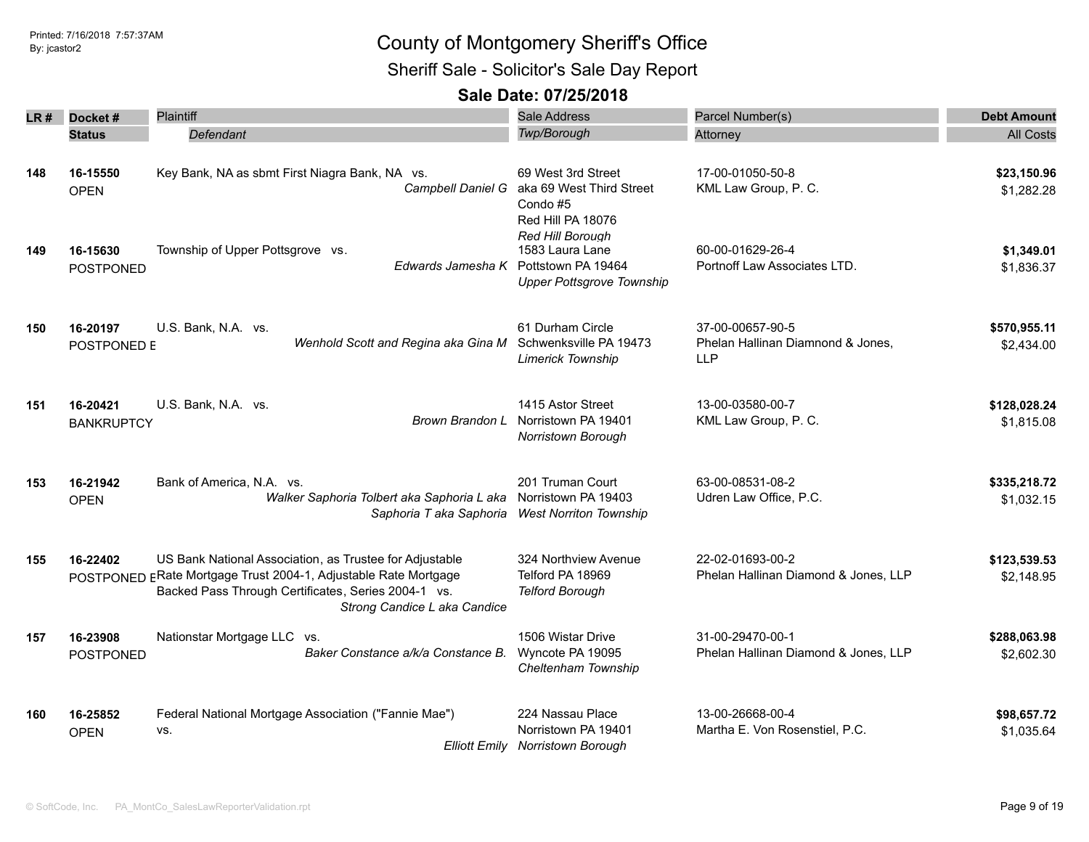Sheriff Sale - Solicitor's Sale Day Report

| LR # | Docket#           | Plaintiff                                                                                                                  | <b>Sale Address</b>                       | Parcel Number(s)                                         | <b>Debt Amount</b>         |
|------|-------------------|----------------------------------------------------------------------------------------------------------------------------|-------------------------------------------|----------------------------------------------------------|----------------------------|
|      | <b>Status</b>     | Defendant                                                                                                                  | Twp/Borough                               | Attorney                                                 | <b>All Costs</b>           |
|      |                   |                                                                                                                            |                                           |                                                          |                            |
| 148  | 16-15550          | Key Bank, NA as sbmt First Niagra Bank, NA vs.                                                                             | 69 West 3rd Street                        | 17-00-01050-50-8                                         | \$23,150.96                |
|      | <b>OPEN</b>       | Campbell Daniel G                                                                                                          | aka 69 West Third Street                  | KML Law Group, P. C.                                     | \$1,282.28                 |
|      |                   |                                                                                                                            | Condo#5<br>Red Hill PA 18076              |                                                          |                            |
|      |                   |                                                                                                                            | Red Hill Borough                          |                                                          |                            |
| 149  | 16-15630          | Township of Upper Pottsgrove vs.                                                                                           | 1583 Laura Lane                           | 60-00-01629-26-4                                         | \$1,349.01                 |
|      | <b>POSTPONED</b>  | Edwards Jamesha K Pottstown PA 19464                                                                                       | <b>Upper Pottsgrove Township</b>          | Portnoff Law Associates LTD.                             | \$1,836.37                 |
|      |                   |                                                                                                                            |                                           |                                                          |                            |
| 150  | 16-20197          | U.S. Bank, N.A. vs.                                                                                                        | 61 Durham Circle                          | 37-00-00657-90-5                                         | \$570,955.11               |
|      | POSTPONED E       | Wenhold Scott and Regina aka Gina M                                                                                        | Schwenksville PA 19473                    | Phelan Hallinan Diamnond & Jones,                        | \$2,434.00                 |
|      |                   |                                                                                                                            | <b>Limerick Township</b>                  | <b>LLP</b>                                               |                            |
|      |                   |                                                                                                                            |                                           |                                                          |                            |
| 151  | 16-20421          | U.S. Bank, N.A. vs.                                                                                                        | 1415 Astor Street                         | 13-00-03580-00-7                                         | \$128,028.24               |
|      | <b>BANKRUPTCY</b> | Brown Brandon L                                                                                                            | Norristown PA 19401<br>Norristown Borough | KML Law Group, P. C.                                     | \$1,815.08                 |
|      |                   |                                                                                                                            |                                           |                                                          |                            |
| 153  | 16-21942          | Bank of America, N.A. vs.                                                                                                  | 201 Truman Court                          | 63-00-08531-08-2                                         | \$335,218.72               |
|      | <b>OPEN</b>       | Walker Saphoria Tolbert aka Saphoria L aka                                                                                 | Norristown PA 19403                       | Udren Law Office, P.C.                                   | \$1,032.15                 |
|      |                   | Saphoria T aka Saphoria                                                                                                    | <b>West Norriton Township</b>             |                                                          |                            |
|      |                   |                                                                                                                            |                                           |                                                          |                            |
| 155  | 16-22402          | US Bank National Association, as Trustee for Adjustable<br>POSTPONED ERate Mortgage Trust 2004-1, Adjustable Rate Mortgage | 324 Northview Avenue<br>Telford PA 18969  | 22-02-01693-00-2<br>Phelan Hallinan Diamond & Jones, LLP | \$123,539.53<br>\$2,148.95 |
|      |                   | Backed Pass Through Certificates, Series 2004-1 vs.                                                                        | <b>Telford Borough</b>                    |                                                          |                            |
|      |                   | Strong Candice L aka Candice                                                                                               |                                           |                                                          |                            |
| 157  | 16-23908          | Nationstar Mortgage LLC vs.                                                                                                | 1506 Wistar Drive                         | 31-00-29470-00-1                                         | \$288,063.98               |
|      | POSTPONED         | Baker Constance a/k/a Constance B.                                                                                         | Wyncote PA 19095                          | Phelan Hallinan Diamond & Jones, LLP                     | \$2,602.30                 |
|      |                   |                                                                                                                            | Cheltenham Township                       |                                                          |                            |
| 160  | 16-25852          | Federal National Mortgage Association ("Fannie Mae")                                                                       | 224 Nassau Place                          | 13-00-26668-00-4                                         | \$98,657.72                |
|      | <b>OPEN</b>       | VS.                                                                                                                        | Norristown PA 19401                       | Martha E. Von Rosenstiel, P.C.                           | \$1,035.64                 |
|      |                   | <b>Elliott Emily</b>                                                                                                       | <b>Norristown Borough</b>                 |                                                          |                            |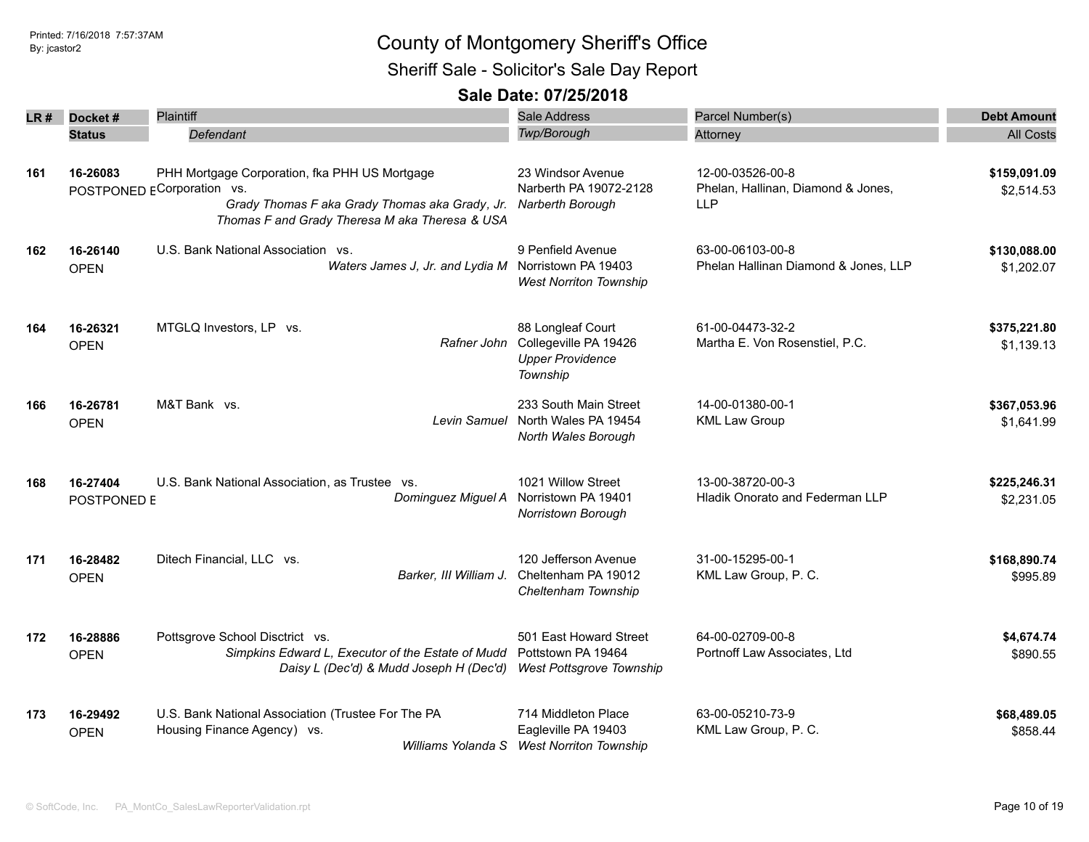### Printed: 7/16/2018 7:57:37AM By: jcastor2 County of Montgomery Sheriff's Office Sheriff Sale - Solicitor's Sale Day Report

| LR # | Docket#<br><b>Status</b> | Plaintiff<br>Defendant                                                                                                                                                          | <b>Sale Address</b><br>Twp/Borough                                                | Parcel Number(s)<br>Attorney                                         | <b>Debt Amount</b><br><b>All Costs</b> |
|------|--------------------------|---------------------------------------------------------------------------------------------------------------------------------------------------------------------------------|-----------------------------------------------------------------------------------|----------------------------------------------------------------------|----------------------------------------|
| 161  | 16-26083                 | PHH Mortgage Corporation, fka PHH US Mortgage<br>POSTPONED ECorporation vs.<br>Grady Thomas F aka Grady Thomas aka Grady, Jr.<br>Thomas F and Grady Theresa M aka Theresa & USA | 23 Windsor Avenue<br>Narberth PA 19072-2128<br>Narberth Borough                   | 12-00-03526-00-8<br>Phelan, Hallinan, Diamond & Jones,<br><b>LLP</b> | \$159,091.09<br>\$2,514.53             |
| 162  | 16-26140<br><b>OPEN</b>  | U.S. Bank National Association vs.<br>Waters James J, Jr. and Lydia M Norristown PA 19403                                                                                       | 9 Penfield Avenue<br><b>West Norriton Township</b>                                | 63-00-06103-00-8<br>Phelan Hallinan Diamond & Jones, LLP             | \$130,088.00<br>\$1,202.07             |
| 164  | 16-26321<br><b>OPEN</b>  | MTGLQ Investors, LP vs.<br>Rafner John                                                                                                                                          | 88 Longleaf Court<br>Collegeville PA 19426<br><b>Upper Providence</b><br>Township | 61-00-04473-32-2<br>Martha E. Von Rosenstiel, P.C.                   | \$375,221.80<br>\$1,139.13             |
| 166  | 16-26781<br><b>OPEN</b>  | M&T Bank vs.<br>Levin Samuel                                                                                                                                                    | 233 South Main Street<br>North Wales PA 19454<br>North Wales Borough              | 14-00-01380-00-1<br><b>KML Law Group</b>                             | \$367,053.96<br>\$1,641.99             |
| 168  | 16-27404<br>POSTPONED E  | U.S. Bank National Association, as Trustee vs.<br>Dominguez Miguel A                                                                                                            | 1021 Willow Street<br>Norristown PA 19401<br>Norristown Borough                   | 13-00-38720-00-3<br><b>Hladik Onorato and Federman LLP</b>           | \$225,246.31<br>\$2,231.05             |
| 171  | 16-28482<br><b>OPEN</b>  | Ditech Financial, LLC vs.<br>Barker, III William J.                                                                                                                             | 120 Jefferson Avenue<br>Cheltenham PA 19012<br>Cheltenham Township                | 31-00-15295-00-1<br>KML Law Group, P. C.                             | \$168,890.74<br>\$995.89               |
| 172  | 16-28886<br><b>OPEN</b>  | Pottsgrove School Disctrict vs.<br>Simpkins Edward L, Executor of the Estate of Mudd<br>Daisy L (Dec'd) & Mudd Joseph H (Dec'd)                                                 | 501 East Howard Street<br>Pottstown PA 19464<br>West Pottsgrove Township          | 64-00-02709-00-8<br>Portnoff Law Associates, Ltd                     | \$4,674.74<br>\$890.55                 |
| 173  | 16-29492<br><b>OPEN</b>  | U.S. Bank National Association (Trustee For The PA<br>Housing Finance Agency) vs.<br>Williams Yolanda S                                                                         | 714 Middleton Place<br>Eagleville PA 19403<br><b>West Norriton Township</b>       | 63-00-05210-73-9<br>KML Law Group, P. C.                             | \$68,489.05<br>\$858.44                |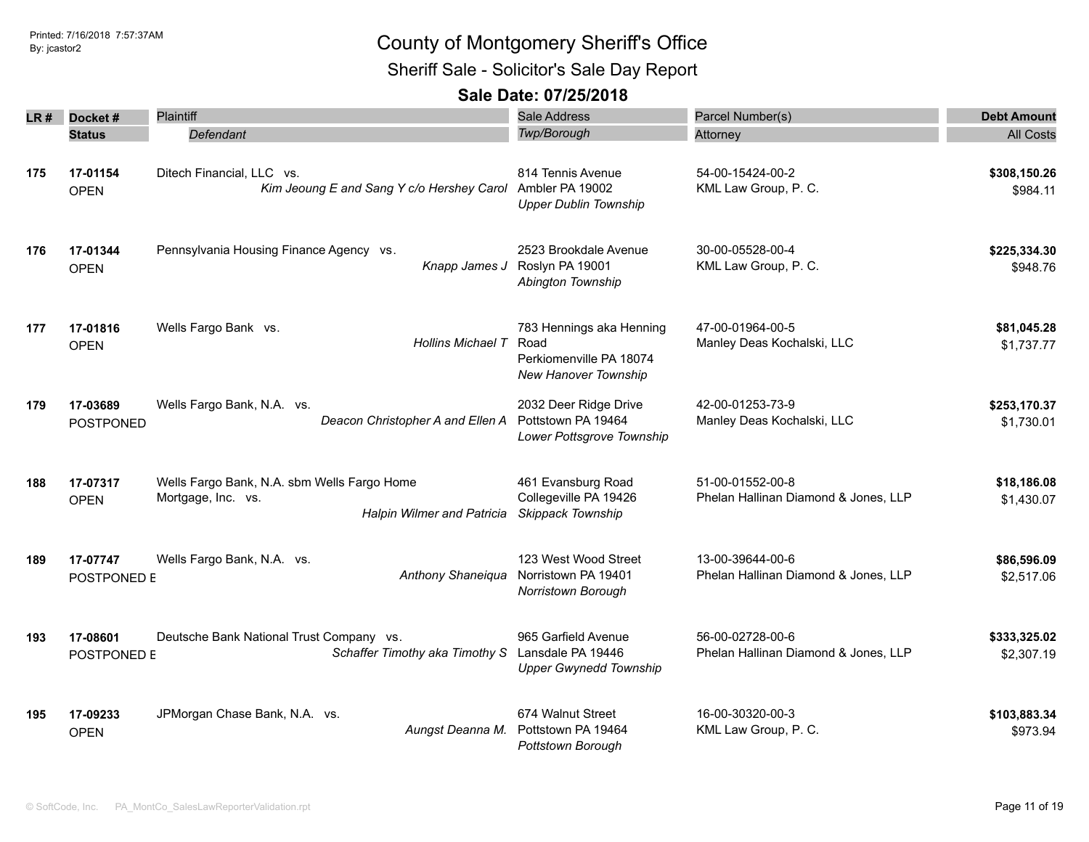Sheriff Sale - Solicitor's Sale Day Report

| LR # | Docket#                 | Plaintiff                                                                                              | Sale Address                                                                        | Parcel Number(s)                                         | <b>Debt Amount</b>         |
|------|-------------------------|--------------------------------------------------------------------------------------------------------|-------------------------------------------------------------------------------------|----------------------------------------------------------|----------------------------|
|      | <b>Status</b>           | Defendant                                                                                              | Twp/Borough                                                                         | Attorney                                                 | <b>All Costs</b>           |
| 175  | 17-01154<br><b>OPEN</b> | Ditech Financial, LLC vs.<br>Kim Jeoung E and Sang Y c/o Hershey Carol                                 | 814 Tennis Avenue<br>Ambler PA 19002<br><b>Upper Dublin Township</b>                | 54-00-15424-00-2<br>KML Law Group, P. C.                 | \$308,150.26<br>\$984.11   |
| 176  | 17-01344<br><b>OPEN</b> | Pennsylvania Housing Finance Agency vs.<br>Knapp James J                                               | 2523 Brookdale Avenue<br>Roslyn PA 19001<br>Abington Township                       | 30-00-05528-00-4<br>KML Law Group, P. C.                 | \$225,334.30<br>\$948.76   |
| 177  | 17-01816<br><b>OPEN</b> | Wells Fargo Bank vs.<br><b>Hollins Michael T</b>                                                       | 783 Hennings aka Henning<br>Road<br>Perkiomenville PA 18074<br>New Hanover Township | 47-00-01964-00-5<br>Manley Deas Kochalski, LLC           | \$81,045.28<br>\$1,737.77  |
| 179  | 17-03689<br>POSTPONED   | Wells Fargo Bank, N.A. vs.<br>Deacon Christopher A and Ellen A                                         | 2032 Deer Ridge Drive<br>Pottstown PA 19464<br>Lower Pottsgrove Township            | 42-00-01253-73-9<br>Manley Deas Kochalski, LLC           | \$253,170.37<br>\$1,730.01 |
| 188  | 17-07317<br><b>OPEN</b> | Wells Fargo Bank, N.A. sbm Wells Fargo Home<br>Mortgage, Inc. vs.<br><b>Halpin Wilmer and Patricia</b> | 461 Evansburg Road<br>Collegeville PA 19426<br>Skippack Township                    | 51-00-01552-00-8<br>Phelan Hallinan Diamond & Jones, LLP | \$18,186.08<br>\$1,430.07  |
| 189  | 17-07747<br>POSTPONED E | Wells Fargo Bank, N.A. vs.<br>Anthony Shaneiqua                                                        | 123 West Wood Street<br>Norristown PA 19401<br>Norristown Borough                   | 13-00-39644-00-6<br>Phelan Hallinan Diamond & Jones, LLP | \$86,596.09<br>\$2,517.06  |
| 193  | 17-08601<br>POSTPONED E | Deutsche Bank National Trust Company vs.<br>Schaffer Timothy aka Timothy S                             | 965 Garfield Avenue<br>Lansdale PA 19446<br><b>Upper Gwynedd Township</b>           | 56-00-02728-00-6<br>Phelan Hallinan Diamond & Jones, LLP | \$333,325.02<br>\$2,307.19 |
| 195  | 17-09233<br><b>OPEN</b> | JPMorgan Chase Bank, N.A. vs.<br>Aungst Deanna M.                                                      | 674 Walnut Street<br>Pottstown PA 19464<br>Pottstown Borough                        | 16-00-30320-00-3<br>KML Law Group, P. C.                 | \$103,883.34<br>\$973.94   |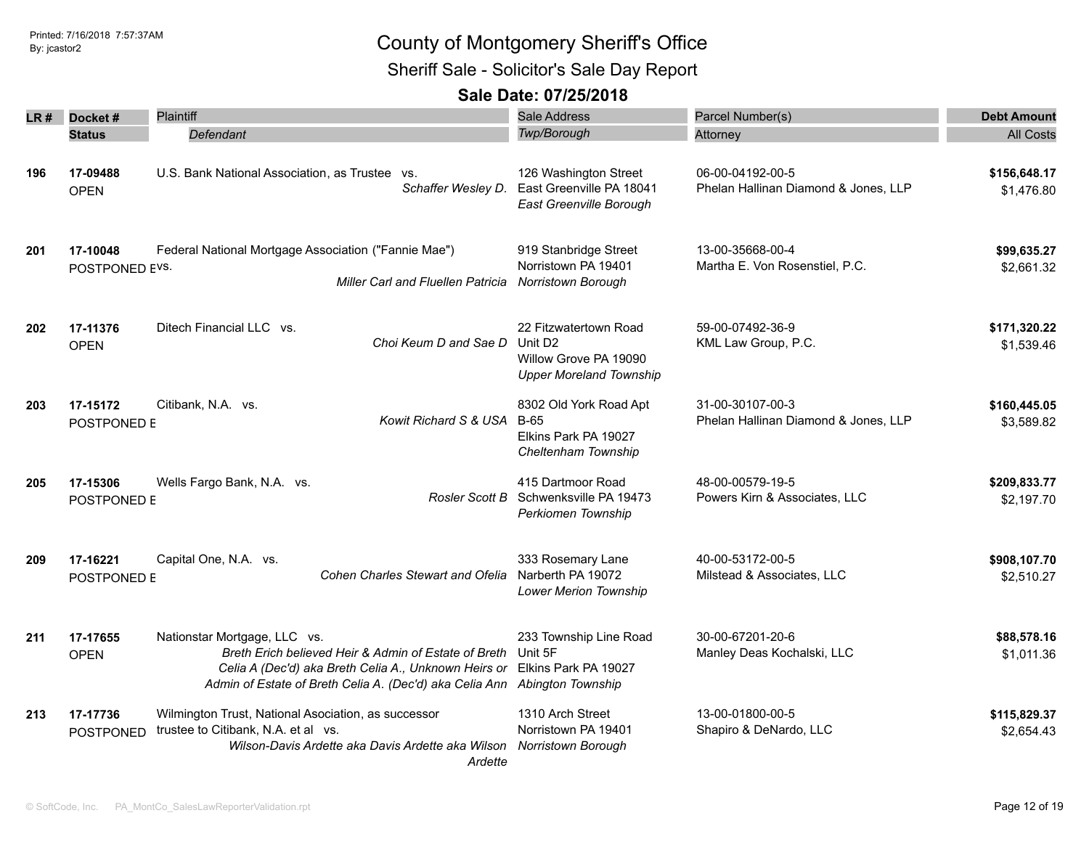Sheriff Sale - Solicitor's Sale Day Report

|     | LR# Docket#                | <b>Plaintiff</b>                                                                                                                                                                                                                               | Sale Address                                                                                            | Parcel Number(s)                                         | <b>Debt Amount</b>         |
|-----|----------------------------|------------------------------------------------------------------------------------------------------------------------------------------------------------------------------------------------------------------------------------------------|---------------------------------------------------------------------------------------------------------|----------------------------------------------------------|----------------------------|
|     | <b>Status</b>              | Defendant                                                                                                                                                                                                                                      | Twp/Borough                                                                                             | Attorney                                                 | <b>All Costs</b>           |
|     |                            |                                                                                                                                                                                                                                                |                                                                                                         |                                                          |                            |
| 196 | 17-09488<br><b>OPEN</b>    | U.S. Bank National Association, as Trustee vs.<br>Schaffer Wesley D.                                                                                                                                                                           | 126 Washington Street<br>East Greenville PA 18041<br>East Greenville Borough                            | 06-00-04192-00-5<br>Phelan Hallinan Diamond & Jones, LLP | \$156,648.17<br>\$1,476.80 |
| 201 | 17-10048<br>POSTPONED EVS. | Federal National Mortgage Association ("Fannie Mae")<br><b>Miller Carl and Fluellen Patricia</b>                                                                                                                                               | 919 Stanbridge Street<br>Norristown PA 19401<br><b>Norristown Borough</b>                               | 13-00-35668-00-4<br>Martha E. Von Rosenstiel, P.C.       | \$99,635.27<br>\$2,661.32  |
| 202 | 17-11376<br><b>OPEN</b>    | Ditech Financial LLC vs.<br>Choi Keum D and Sae D                                                                                                                                                                                              | 22 Fitzwatertown Road<br>Unit D <sub>2</sub><br>Willow Grove PA 19090<br><b>Upper Moreland Township</b> | 59-00-07492-36-9<br>KML Law Group, P.C.                  | \$171,320.22<br>\$1,539.46 |
| 203 | 17-15172<br>POSTPONED E    | Citibank, N.A. vs.<br>Kowit Richard S & USA                                                                                                                                                                                                    | 8302 Old York Road Apt<br>B-65<br>Elkins Park PA 19027<br>Cheltenham Township                           | 31-00-30107-00-3<br>Phelan Hallinan Diamond & Jones, LLP | \$160,445.05<br>\$3,589.82 |
| 205 | 17-15306<br>POSTPONED E    | Wells Fargo Bank, N.A. vs.<br>Rosler Scott B                                                                                                                                                                                                   | 415 Dartmoor Road<br>Schwenksville PA 19473<br>Perkiomen Township                                       | 48-00-00579-19-5<br>Powers Kirn & Associates, LLC        | \$209,833.77<br>\$2,197.70 |
| 209 | 17-16221<br>POSTPONED E    | Capital One, N.A. vs.<br>Cohen Charles Stewart and Ofelia                                                                                                                                                                                      | 333 Rosemary Lane<br>Narberth PA 19072<br><b>Lower Merion Township</b>                                  | 40-00-53172-00-5<br>Milstead & Associates, LLC           | \$908,107.70<br>\$2,510.27 |
| 211 | 17-17655<br><b>OPEN</b>    | Nationstar Mortgage, LLC vs.<br>Breth Erich believed Heir & Admin of Estate of Breth<br>Celia A (Dec'd) aka Breth Celia A., Unknown Heirs or Elkins Park PA 19027<br>Admin of Estate of Breth Celia A. (Dec'd) aka Celia Ann Abington Township | 233 Township Line Road<br>Unit 5F                                                                       | 30-00-67201-20-6<br>Manley Deas Kochalski, LLC           | \$88,578.16<br>\$1,011.36  |
| 213 | 17-17736<br>POSTPONED      | Wilmington Trust, National Asociation, as successor<br>trustee to Citibank, N.A. et al vs.<br>Wilson-Davis Ardette aka Davis Ardette aka Wilson<br>Ardette                                                                                     | 1310 Arch Street<br>Norristown PA 19401<br>Norristown Borough                                           | 13-00-01800-00-5<br>Shapiro & DeNardo, LLC               | \$115,829.37<br>\$2,654.43 |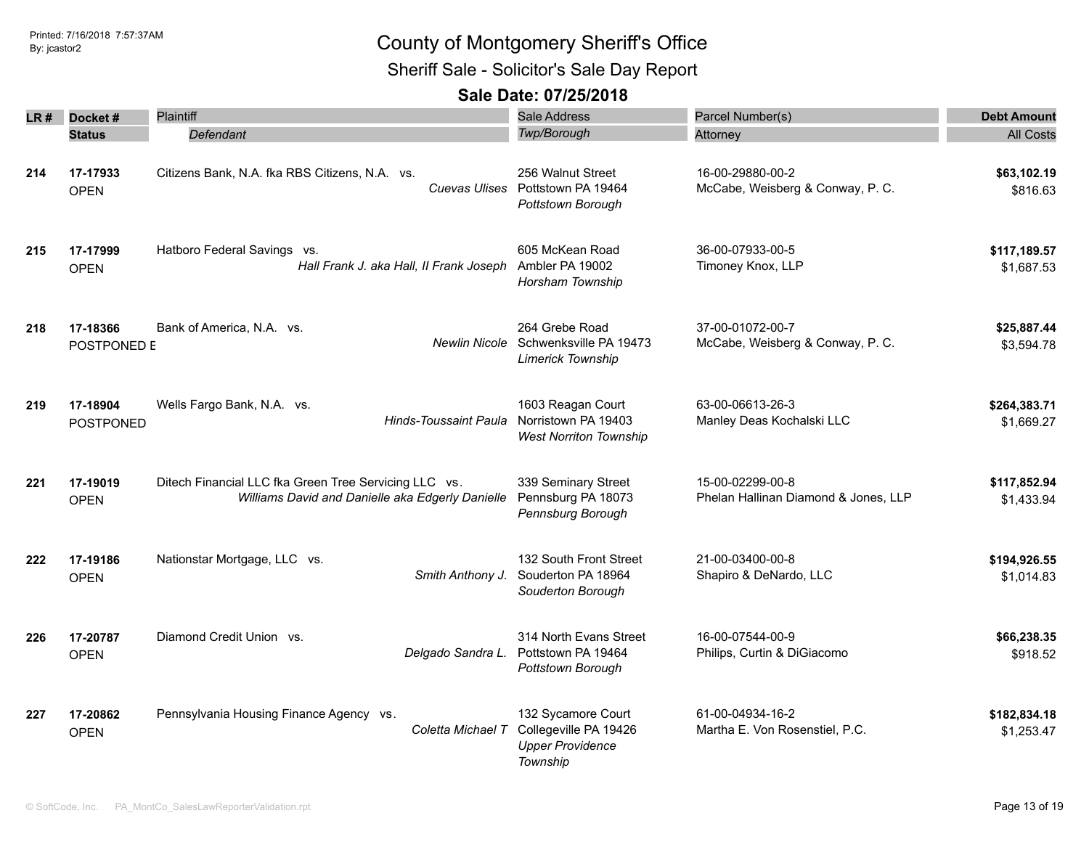Sheriff Sale - Solicitor's Sale Day Report

| LR # | Docket#                 | <b>Plaintiff</b>                                                                                          | <b>Sale Address</b>                                                                | Parcel Number(s)                                         | <b>Debt Amount</b>         |
|------|-------------------------|-----------------------------------------------------------------------------------------------------------|------------------------------------------------------------------------------------|----------------------------------------------------------|----------------------------|
|      | <b>Status</b>           | <b>Defendant</b>                                                                                          | Twp/Borough                                                                        | Attorney                                                 | <b>All Costs</b>           |
| 214  | 17-17933<br><b>OPEN</b> | Citizens Bank, N.A. fka RBS Citizens, N.A. vs.                                                            | 256 Walnut Street<br>Cuevas Ulises Pottstown PA 19464<br>Pottstown Borough         | 16-00-29880-00-2<br>McCabe, Weisberg & Conway, P. C.     | \$63,102.19<br>\$816.63    |
| 215  | 17-17999<br><b>OPEN</b> | Hatboro Federal Savings vs.<br>Hall Frank J. aka Hall, II Frank Joseph                                    | 605 McKean Road<br>Ambler PA 19002<br>Horsham Township                             | 36-00-07933-00-5<br>Timoney Knox, LLP                    | \$117,189.57<br>\$1,687.53 |
| 218  | 17-18366<br>POSTPONED E | Bank of America, N.A. vs.<br><b>Newlin Nicole</b>                                                         | 264 Grebe Road<br>Schwenksville PA 19473<br>Limerick Township                      | 37-00-01072-00-7<br>McCabe, Weisberg & Conway, P. C.     | \$25,887.44<br>\$3,594.78  |
| 219  | 17-18904<br>POSTPONED   | Wells Fargo Bank, N.A. vs.<br>Hinds-Toussaint Paula                                                       | 1603 Reagan Court<br>Norristown PA 19403<br><b>West Norriton Township</b>          | 63-00-06613-26-3<br>Manley Deas Kochalski LLC            | \$264,383.71<br>\$1,669.27 |
| 221  | 17-19019<br><b>OPEN</b> | Ditech Financial LLC fka Green Tree Servicing LLC vs.<br>Williams David and Danielle aka Edgerly Danielle | 339 Seminary Street<br>Pennsburg PA 18073<br>Pennsburg Borough                     | 15-00-02299-00-8<br>Phelan Hallinan Diamond & Jones, LLP | \$117,852.94<br>\$1,433.94 |
| 222  | 17-19186<br><b>OPEN</b> | Nationstar Mortgage, LLC vs.<br>Smith Anthony J.                                                          | 132 South Front Street<br>Souderton PA 18964<br>Souderton Borough                  | 21-00-03400-00-8<br>Shapiro & DeNardo, LLC               | \$194,926.55<br>\$1,014.83 |
| 226  | 17-20787<br><b>OPEN</b> | Diamond Credit Union vs.<br>Delgado Sandra L.                                                             | 314 North Evans Street<br>Pottstown PA 19464<br>Pottstown Borough                  | 16-00-07544-00-9<br>Philips, Curtin & DiGiacomo          | \$66,238.35<br>\$918.52    |
| 227  | 17-20862<br><b>OPEN</b> | Pennsylvania Housing Finance Agency vs.<br>Coletta Michael T                                              | 132 Sycamore Court<br>Collegeville PA 19426<br><b>Upper Providence</b><br>Township | 61-00-04934-16-2<br>Martha E. Von Rosenstiel, P.C.       | \$182,834.18<br>\$1,253.47 |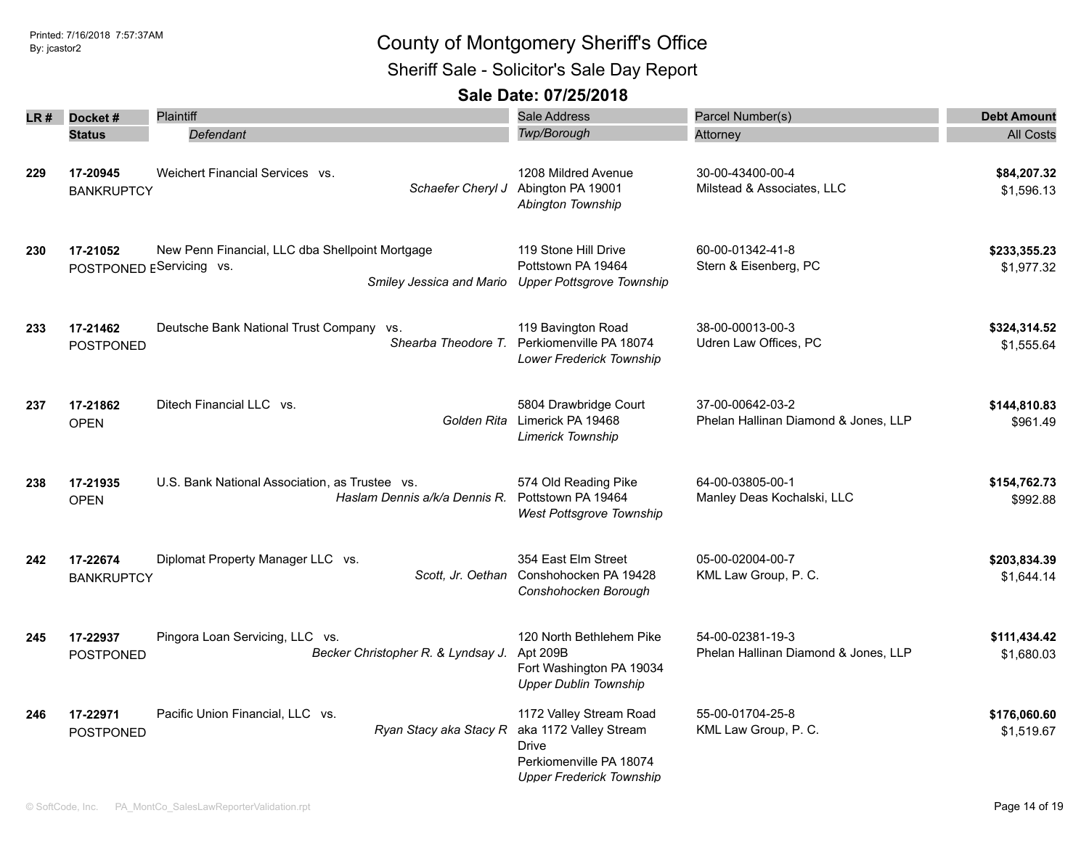Sheriff Sale - Solicitor's Sale Day Report

| LR # | Docket#                       | <b>Plaintiff</b>                                                            |                                    | <b>Sale Address</b>                                                                                                      | Parcel Number(s)                                         | <b>Debt Amount</b>         |
|------|-------------------------------|-----------------------------------------------------------------------------|------------------------------------|--------------------------------------------------------------------------------------------------------------------------|----------------------------------------------------------|----------------------------|
|      | <b>Status</b>                 | Defendant                                                                   |                                    | Twp/Borough                                                                                                              | Attorney                                                 | <b>All Costs</b>           |
| 229  | 17-20945<br><b>BANKRUPTCY</b> | Weichert Financial Services vs.                                             | Schaefer Cheryl J                  | 1208 Mildred Avenue<br>Abington PA 19001<br>Abington Township                                                            | 30-00-43400-00-4<br>Milstead & Associates, LLC           | \$84,207.32<br>\$1,596.13  |
| 230  | 17-21052                      | New Penn Financial, LLC dba Shellpoint Mortgage<br>POSTPONED EServicing vs. |                                    | 119 Stone Hill Drive<br>Pottstown PA 19464<br>Smiley Jessica and Mario Upper Pottsgrove Township                         | 60-00-01342-41-8<br>Stern & Eisenberg, PC                | \$233,355.23<br>\$1,977.32 |
| 233  | 17-21462<br><b>POSTPONED</b>  | Deutsche Bank National Trust Company vs.                                    |                                    | 119 Bavington Road<br>Shearba Theodore T. Perkiomenville PA 18074<br>Lower Frederick Township                            | 38-00-00013-00-3<br>Udren Law Offices, PC                | \$324,314.52<br>\$1.555.64 |
| 237  | 17-21862<br><b>OPEN</b>       | Ditech Financial LLC vs.                                                    |                                    | 5804 Drawbridge Court<br>Golden Rita Limerick PA 19468<br><b>Limerick Township</b>                                       | 37-00-00642-03-2<br>Phelan Hallinan Diamond & Jones, LLP | \$144,810.83<br>\$961.49   |
| 238  | 17-21935<br><b>OPEN</b>       | U.S. Bank National Association, as Trustee vs.                              | Haslam Dennis a/k/a Dennis R.      | 574 Old Reading Pike<br>Pottstown PA 19464<br>West Pottsgrove Township                                                   | 64-00-03805-00-1<br>Manley Deas Kochalski, LLC           | \$154,762.73<br>\$992.88   |
| 242  | 17-22674<br><b>BANKRUPTCY</b> | Diplomat Property Manager LLC vs.                                           |                                    | 354 East Elm Street<br>Scott, Jr. Oethan Conshohocken PA 19428<br>Conshohocken Borough                                   | 05-00-02004-00-7<br>KML Law Group, P. C.                 | \$203,834.39<br>\$1,644.14 |
| 245  | 17-22937<br>POSTPONED         | Pingora Loan Servicing, LLC vs.                                             | Becker Christopher R. & Lyndsay J. | 120 North Bethlehem Pike<br>Apt 209B<br>Fort Washington PA 19034<br><b>Upper Dublin Township</b>                         | 54-00-02381-19-3<br>Phelan Hallinan Diamond & Jones, LLP | \$111,434.42<br>\$1,680.03 |
| 246  | 17-22971<br>POSTPONED         | Pacific Union Financial, LLC vs.                                            | Ryan Stacy aka Stacy R             | 1172 Valley Stream Road<br>aka 1172 Valley Stream<br>Drive<br>Perkiomenville PA 18074<br><b>Upper Frederick Township</b> | 55-00-01704-25-8<br>KML Law Group, P. C.                 | \$176,060.60<br>\$1,519.67 |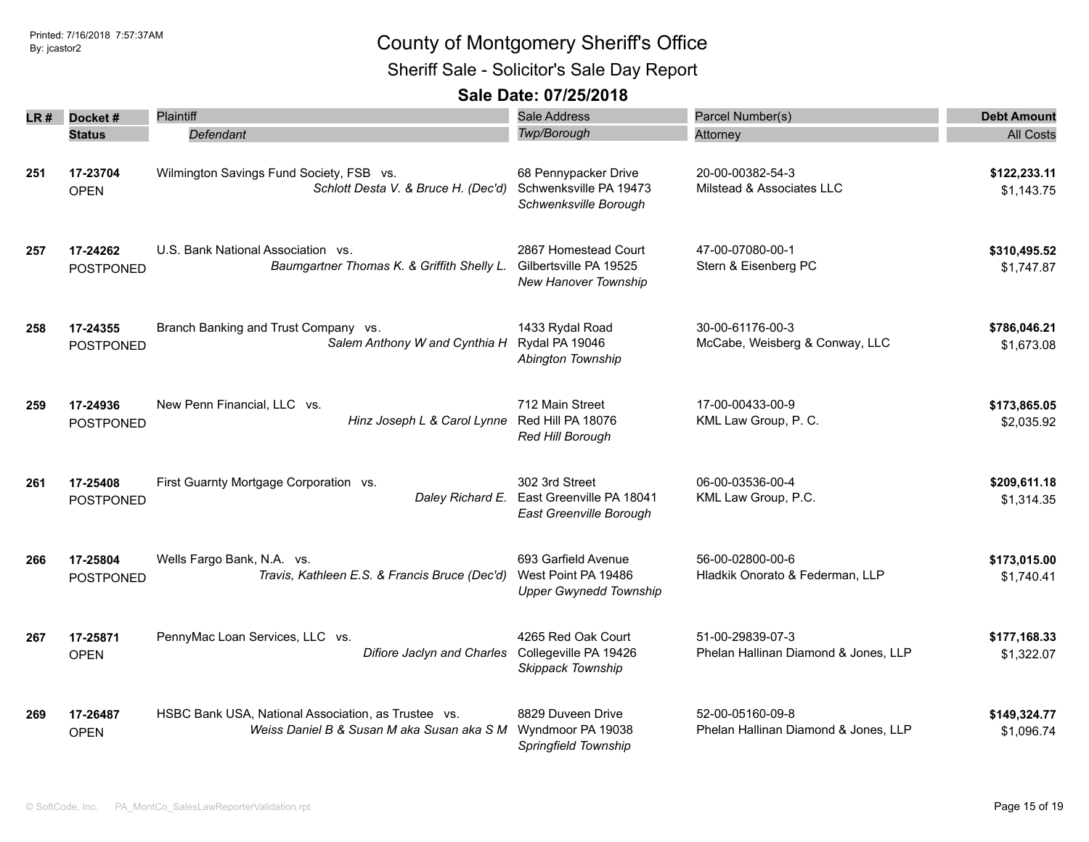Sheriff Sale - Solicitor's Sale Day Report

| LR # | Docket#                      | <b>Plaintiff</b>                                                                                  | Sale Address                                                                | Parcel Number(s)                                         | <b>Debt Amount</b>         |
|------|------------------------------|---------------------------------------------------------------------------------------------------|-----------------------------------------------------------------------------|----------------------------------------------------------|----------------------------|
|      | <b>Status</b>                | Defendant                                                                                         | Twp/Borough                                                                 | Attorney                                                 | <b>All Costs</b>           |
| 251  | 17-23704<br><b>OPEN</b>      | Wilmington Savings Fund Society, FSB vs.<br>Schlott Desta V. & Bruce H. (Dec'd)                   | 68 Pennypacker Drive<br>Schwenksville PA 19473<br>Schwenksville Borough     | 20-00-00382-54-3<br>Milstead & Associates LLC            | \$122,233.11<br>\$1,143.75 |
| 257  | 17-24262<br><b>POSTPONED</b> | U.S. Bank National Association vs.<br>Baumgartner Thomas K. & Griffith Shelly L.                  | 2867 Homestead Court<br>Gilbertsville PA 19525<br>New Hanover Township      | 47-00-07080-00-1<br>Stern & Eisenberg PC                 | \$310,495.52<br>\$1,747.87 |
| 258  | 17-24355<br><b>POSTPONED</b> | Branch Banking and Trust Company vs.<br>Salem Anthony W and Cynthia H                             | 1433 Rydal Road<br>Rydal PA 19046<br>Abington Township                      | 30-00-61176-00-3<br>McCabe, Weisberg & Conway, LLC       | \$786,046.21<br>\$1,673.08 |
| 259  | 17-24936<br><b>POSTPONED</b> | New Penn Financial, LLC vs.<br>Hinz Joseph L & Carol Lynne                                        | 712 Main Street<br>Red Hill PA 18076<br>Red Hill Borough                    | 17-00-00433-00-9<br>KML Law Group, P. C.                 | \$173,865.05<br>\$2,035.92 |
| 261  | 17-25408<br><b>POSTPONED</b> | First Guarnty Mortgage Corporation vs.<br>Daley Richard E.                                        | 302 3rd Street<br>East Greenville PA 18041<br>East Greenville Borough       | 06-00-03536-00-4<br>KML Law Group, P.C.                  | \$209,611.18<br>\$1,314.35 |
| 266  | 17-25804<br><b>POSTPONED</b> | Wells Fargo Bank, N.A. vs.<br>Travis, Kathleen E.S. & Francis Bruce (Dec'd)                       | 693 Garfield Avenue<br>West Point PA 19486<br><b>Upper Gwynedd Township</b> | 56-00-02800-00-6<br>Hladkik Onorato & Federman, LLP      | \$173,015.00<br>\$1,740.41 |
| 267  | 17-25871<br><b>OPEN</b>      | PennyMac Loan Services, LLC vs.<br>Difiore Jaclyn and Charles                                     | 4265 Red Oak Court<br>Collegeville PA 19426<br>Skippack Township            | 51-00-29839-07-3<br>Phelan Hallinan Diamond & Jones, LLP | \$177,168.33<br>\$1,322.07 |
| 269  | 17-26487<br><b>OPEN</b>      | HSBC Bank USA, National Association, as Trustee vs.<br>Weiss Daniel B & Susan M aka Susan aka S M | 8829 Duveen Drive<br>Wyndmoor PA 19038<br>Springfield Township              | 52-00-05160-09-8<br>Phelan Hallinan Diamond & Jones, LLP | \$149,324.77<br>\$1,096.74 |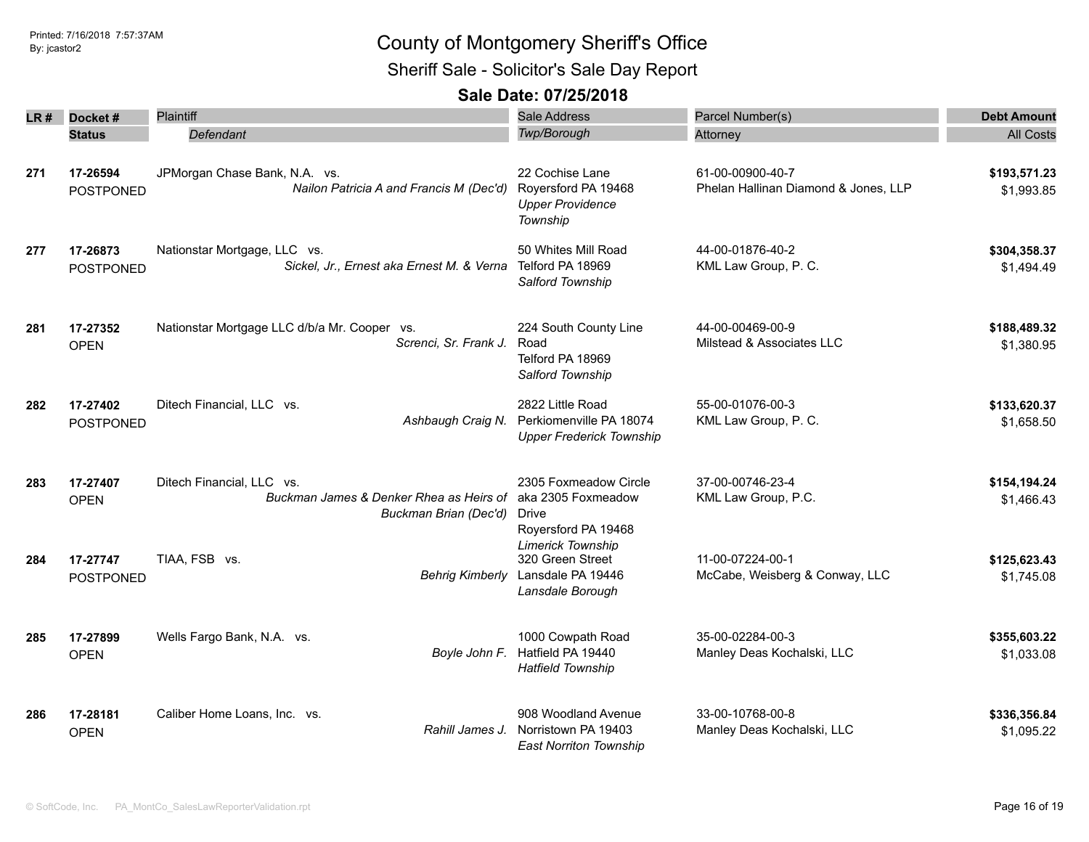Sheriff Sale - Solicitor's Sale Day Report

| LR # | Docket#          | <b>Plaintiff</b>                             | <b>Sale Address</b>             | Parcel Number(s)                     | <b>Debt Amount</b> |
|------|------------------|----------------------------------------------|---------------------------------|--------------------------------------|--------------------|
|      | <b>Status</b>    | Defendant                                    | Twp/Borough                     | Attorney                             | <b>All Costs</b>   |
|      |                  |                                              |                                 |                                      |                    |
| 271  | 17-26594         | JPMorgan Chase Bank, N.A. vs.                | 22 Cochise Lane                 | 61-00-00900-40-7                     | \$193,571.23       |
|      | POSTPONED        | Nailon Patricia A and Francis M (Dec'd)      | Royersford PA 19468             | Phelan Hallinan Diamond & Jones, LLP | \$1,993.85         |
|      |                  |                                              | <b>Upper Providence</b>         |                                      |                    |
|      |                  |                                              | Township                        |                                      |                    |
| 277  | 17-26873         | Nationstar Mortgage, LLC vs.                 | 50 Whites Mill Road             | 44-00-01876-40-2                     | \$304,358.37       |
|      | <b>POSTPONED</b> | Sickel, Jr., Ernest aka Ernest M. & Verna    | Telford PA 18969                | KML Law Group, P. C.                 | \$1,494.49         |
|      |                  |                                              | Salford Township                |                                      |                    |
| 281  | 17-27352         | Nationstar Mortgage LLC d/b/a Mr. Cooper vs. | 224 South County Line           | 44-00-00469-00-9                     | \$188,489.32       |
|      | <b>OPEN</b>      | Screnci, Sr. Frank J.                        | Road                            | Milstead & Associates LLC            | \$1,380.95         |
|      |                  |                                              | Telford PA 18969                |                                      |                    |
|      |                  |                                              | Salford Township                |                                      |                    |
| 282  | 17-27402         | Ditech Financial, LLC vs.                    | 2822 Little Road                | 55-00-01076-00-3                     | \$133,620.37       |
|      | <b>POSTPONED</b> | Ashbaugh Craig N.                            | Perkiomenville PA 18074         | KML Law Group, P. C.                 | \$1,658.50         |
|      |                  |                                              | <b>Upper Frederick Township</b> |                                      |                    |
| 283  | 17-27407         | Ditech Financial, LLC vs.                    | 2305 Foxmeadow Circle           | 37-00-00746-23-4                     | \$154,194.24       |
|      | <b>OPEN</b>      | Buckman James & Denker Rhea as Heirs of      | aka 2305 Foxmeadow              | KML Law Group, P.C.                  | \$1,466.43         |
|      |                  | Buckman Brian (Dec'd)                        | Drive                           |                                      |                    |
|      |                  |                                              | Royersford PA 19468             |                                      |                    |
|      |                  |                                              | <b>Limerick Township</b>        |                                      |                    |
| 284  | 17-27747         | TIAA, FSB vs.                                | 320 Green Street                | 11-00-07224-00-1                     | \$125,623.43       |
|      | <b>POSTPONED</b> | <b>Behrig Kimberly</b>                       | Lansdale PA 19446               | McCabe, Weisberg & Conway, LLC       | \$1,745.08         |
|      |                  |                                              | Lansdale Borough                |                                      |                    |
| 285  | 17-27899         | Wells Fargo Bank, N.A. vs.                   | 1000 Cowpath Road               | 35-00-02284-00-3                     | \$355,603.22       |
|      | <b>OPEN</b>      | Boyle John F.                                | Hatfield PA 19440               | Manley Deas Kochalski, LLC           | \$1,033.08         |
|      |                  |                                              | <b>Hatfield Township</b>        |                                      |                    |
| 286  | 17-28181         | Caliber Home Loans, Inc. vs.                 | 908 Woodland Avenue             | 33-00-10768-00-8                     | \$336,356.84       |
|      | <b>OPEN</b>      | Rahill James J.                              | Norristown PA 19403             | Manley Deas Kochalski, LLC           | \$1,095.22         |
|      |                  |                                              | <b>East Norriton Township</b>   |                                      |                    |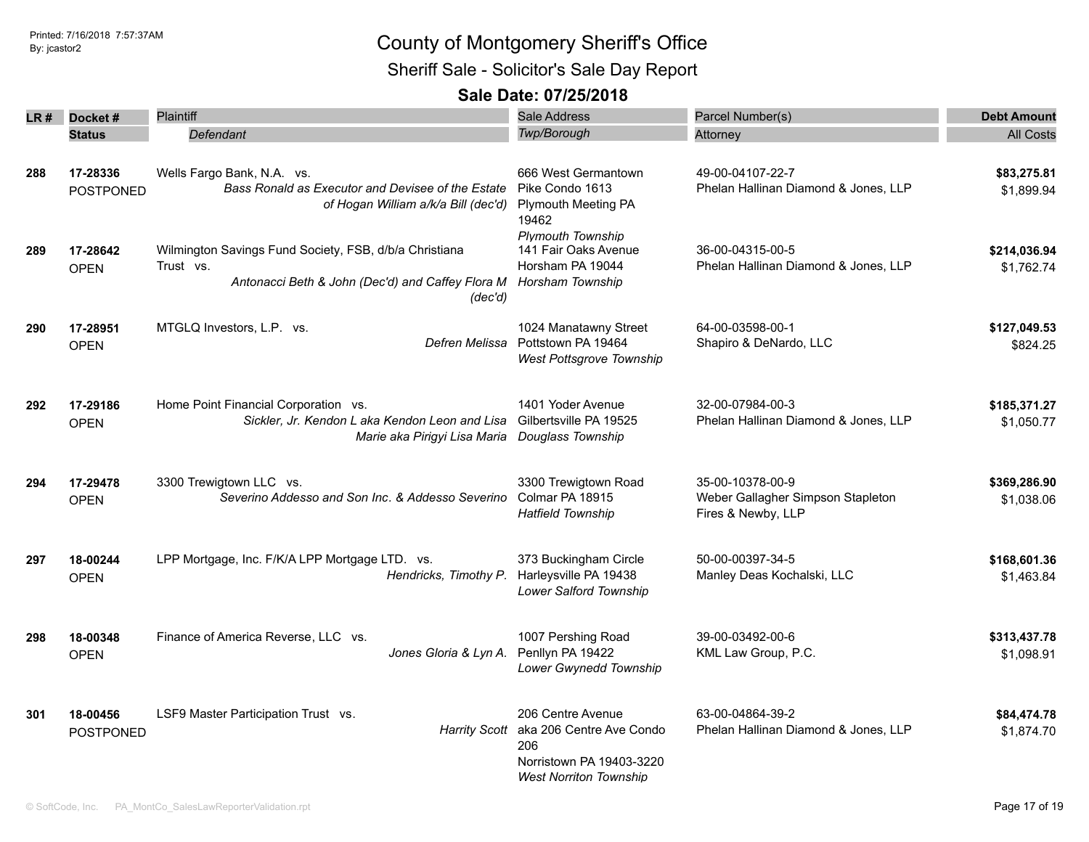Sheriff Sale - Solicitor's Sale Day Report

| LR# | Docket#                      | Plaintiff                                                                                                                          | <b>Sale Address</b>                                                                                                             | Parcel Number(s)                                                            | <b>Debt Amount</b>         |
|-----|------------------------------|------------------------------------------------------------------------------------------------------------------------------------|---------------------------------------------------------------------------------------------------------------------------------|-----------------------------------------------------------------------------|----------------------------|
|     | <b>Status</b>                | Defendant                                                                                                                          | Twp/Borough                                                                                                                     | Attorney                                                                    | <b>All Costs</b>           |
|     |                              |                                                                                                                                    |                                                                                                                                 |                                                                             |                            |
| 288 | 17-28336<br><b>POSTPONED</b> | Wells Fargo Bank, N.A. vs.<br>Bass Ronald as Executor and Devisee of the Estate<br>of Hogan William a/k/a Bill (dec'd)             | 666 West Germantown<br>Pike Condo 1613<br><b>Plymouth Meeting PA</b><br>19462                                                   | 49-00-04107-22-7<br>Phelan Hallinan Diamond & Jones, LLP                    | \$83,275.81<br>\$1.899.94  |
| 289 | 17-28642<br><b>OPEN</b>      | Wilmington Savings Fund Society, FSB, d/b/a Christiana<br>Trust vs.<br>Antonacci Beth & John (Dec'd) and Caffey Flora M<br>(dec'd) | <b>Plymouth Township</b><br>141 Fair Oaks Avenue<br>Horsham PA 19044<br>Horsham Township                                        | 36-00-04315-00-5<br>Phelan Hallinan Diamond & Jones, LLP                    | \$214,036.94<br>\$1,762.74 |
| 290 | 17-28951<br><b>OPEN</b>      | MTGLQ Investors, L.P. vs.<br>Defren Melissa                                                                                        | 1024 Manatawny Street<br>Pottstown PA 19464<br>West Pottsgrove Township                                                         | 64-00-03598-00-1<br>Shapiro & DeNardo, LLC                                  | \$127,049.53<br>\$824.25   |
| 292 | 17-29186<br><b>OPEN</b>      | Home Point Financial Corporation vs.<br>Sickler, Jr. Kendon L aka Kendon Leon and Lisa<br>Marie aka Pirigyi Lisa Maria             | 1401 Yoder Avenue<br>Gilbertsville PA 19525<br>Douglass Township                                                                | 32-00-07984-00-3<br>Phelan Hallinan Diamond & Jones, LLP                    | \$185,371.27<br>\$1,050.77 |
| 294 | 17-29478<br><b>OPEN</b>      | 3300 Trewigtown LLC vs.<br>Severino Addesso and Son Inc. & Addesso Severino                                                        | 3300 Trewigtown Road<br>Colmar PA 18915<br><b>Hatfield Township</b>                                                             | 35-00-10378-00-9<br>Weber Gallagher Simpson Stapleton<br>Fires & Newby, LLP | \$369,286.90<br>\$1,038.06 |
| 297 | 18-00244<br><b>OPEN</b>      | LPP Mortgage, Inc. F/K/A LPP Mortgage LTD. vs.<br>Hendricks, Timothy P.                                                            | 373 Buckingham Circle<br>Harleysville PA 19438<br>Lower Salford Township                                                        | 50-00-00397-34-5<br>Manley Deas Kochalski, LLC                              | \$168,601.36<br>\$1,463.84 |
| 298 | 18-00348<br><b>OPEN</b>      | Finance of America Reverse, LLC vs.<br>Jones Gloria & Lyn A.                                                                       | 1007 Pershing Road<br>Penllyn PA 19422<br>Lower Gwynedd Township                                                                | 39-00-03492-00-6<br>KML Law Group, P.C.                                     | \$313,437.78<br>\$1,098.91 |
| 301 | 18-00456<br><b>POSTPONED</b> | LSF9 Master Participation Trust vs.                                                                                                | 206 Centre Avenue<br>Harrity Scott aka 206 Centre Ave Condo<br>206<br>Norristown PA 19403-3220<br><b>West Norriton Township</b> | 63-00-04864-39-2<br>Phelan Hallinan Diamond & Jones, LLP                    | \$84,474.78<br>\$1,874.70  |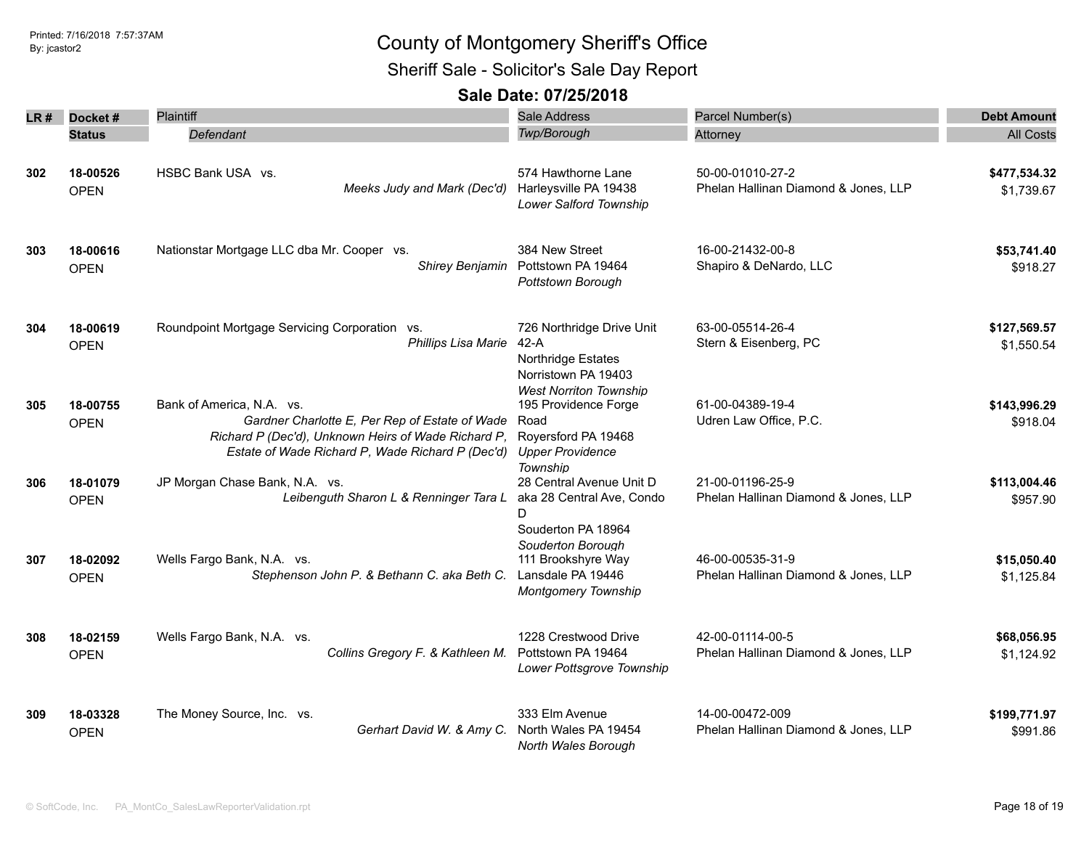Sheriff Sale - Solicitor's Sale Day Report

| LR # | Docket#       | Plaintiff                                                            | <b>Sale Address</b>                         | Parcel Number(s)                           | <b>Debt Amount</b> |
|------|---------------|----------------------------------------------------------------------|---------------------------------------------|--------------------------------------------|--------------------|
|      | <b>Status</b> | Defendant                                                            | Twp/Borough                                 | Attorney                                   | <b>All Costs</b>   |
|      |               |                                                                      |                                             |                                            |                    |
| 302  | 18-00526      | HSBC Bank USA vs.                                                    | 574 Hawthorne Lane                          | 50-00-01010-27-2                           | \$477,534.32       |
|      | <b>OPEN</b>   | Meeks Judy and Mark (Dec'd)                                          | Harleysville PA 19438                       | Phelan Hallinan Diamond & Jones, LLP       | \$1,739.67         |
|      |               |                                                                      | Lower Salford Township                      |                                            |                    |
|      |               |                                                                      |                                             |                                            |                    |
| 303  | 18-00616      | Nationstar Mortgage LLC dba Mr. Cooper vs.<br>Shirey Benjamin        | 384 New Street<br>Pottstown PA 19464        | 16-00-21432-00-8<br>Shapiro & DeNardo, LLC | \$53,741.40        |
|      | <b>OPEN</b>   |                                                                      | Pottstown Borough                           |                                            | \$918.27           |
|      |               |                                                                      |                                             |                                            |                    |
| 304  | 18-00619      | Roundpoint Mortgage Servicing Corporation vs.<br>Phillips Lisa Marie | 726 Northridge Drive Unit<br>$42-A$         | 63-00-05514-26-4<br>Stern & Eisenberg, PC  | \$127,569.57       |
|      | <b>OPEN</b>   |                                                                      | Northridge Estates                          |                                            | \$1,550.54         |
|      |               |                                                                      | Norristown PA 19403                         |                                            |                    |
|      |               |                                                                      | <b>West Norriton Township</b>               |                                            |                    |
| 305  | 18-00755      | Bank of America, N.A. vs.                                            | 195 Providence Forge                        | 61-00-04389-19-4                           | \$143,996.29       |
|      | <b>OPEN</b>   | Gardner Charlotte E, Per Rep of Estate of Wade                       | Road                                        | Udren Law Office, P.C.                     | \$918.04           |
|      |               | Richard P (Dec'd), Unknown Heirs of Wade Richard P,                  | Royersford PA 19468                         |                                            |                    |
|      |               | Estate of Wade Richard P, Wade Richard P (Dec'd)                     | <b>Upper Providence</b>                     |                                            |                    |
|      |               |                                                                      | Township                                    |                                            |                    |
| 306  | 18-01079      | JP Morgan Chase Bank, N.A. vs.                                       | 28 Central Avenue Unit D                    | 21-00-01196-25-9                           | \$113,004.46       |
|      | <b>OPEN</b>   | Leibenguth Sharon L & Renninger Tara L                               | aka 28 Central Ave, Condo<br>D              | Phelan Hallinan Diamond & Jones, LLP       | \$957.90           |
|      |               |                                                                      | Souderton PA 18964                          |                                            |                    |
|      |               |                                                                      | Souderton Borough                           |                                            |                    |
| 307  | 18-02092      | Wells Fargo Bank, N.A. vs.                                           | 111 Brookshyre Way                          | 46-00-00535-31-9                           | \$15,050.40        |
|      | <b>OPEN</b>   | Stephenson John P. & Bethann C. aka Beth C.                          | Lansdale PA 19446                           | Phelan Hallinan Diamond & Jones, LLP       | \$1,125.84         |
|      |               |                                                                      | <b>Montgomery Township</b>                  |                                            |                    |
| 308  | 18-02159      | Wells Fargo Bank, N.A. vs.                                           | 1228 Crestwood Drive                        | 42-00-01114-00-5                           | \$68,056.95        |
|      | <b>OPEN</b>   | Collins Gregory F. & Kathleen M.                                     | Pottstown PA 19464                          | Phelan Hallinan Diamond & Jones, LLP       | \$1,124.92         |
|      |               |                                                                      | Lower Pottsgrove Township                   |                                            |                    |
| 309  | 18-03328      | The Money Source, Inc. vs.                                           | 333 Elm Avenue                              | 14-00-00472-009                            | \$199,771.97       |
|      | <b>OPEN</b>   | Gerhart David W. & Amy C.                                            | North Wales PA 19454<br>North Wales Borough | Phelan Hallinan Diamond & Jones, LLP       | \$991.86           |